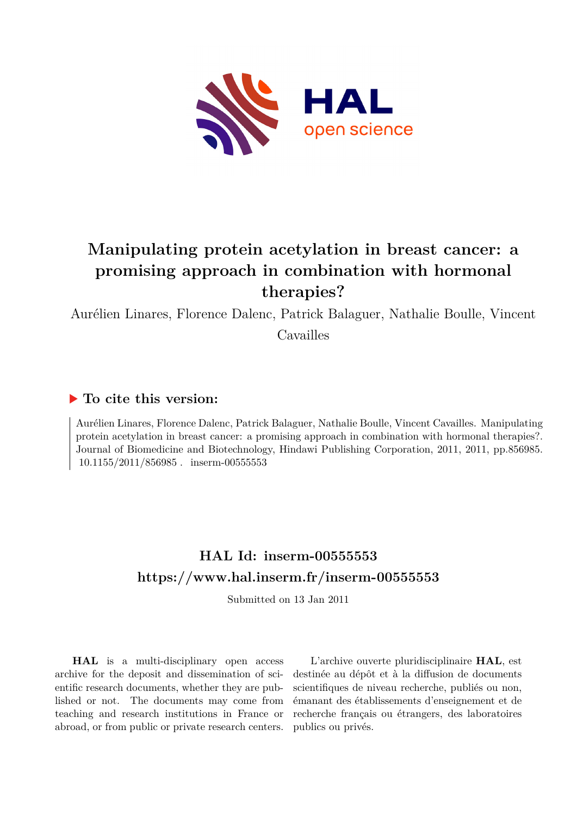

# **Manipulating protein acetylation in breast cancer: a promising approach in combination with hormonal therapies?**

Aurélien Linares, Florence Dalenc, Patrick Balaguer, Nathalie Boulle, Vincent

Cavailles

### **To cite this version:**

Aurélien Linares, Florence Dalenc, Patrick Balaguer, Nathalie Boulle, Vincent Cavailles. Manipulating protein acetylation in breast cancer: a promising approach in combination with hormonal therapies?. Journal of Biomedicine and Biotechnology, Hindawi Publishing Corporation, 2011, 2011, pp.856985.  $10.1155/2011/856985$ . inserm-00555553

## **HAL Id: inserm-00555553 <https://www.hal.inserm.fr/inserm-00555553>**

Submitted on 13 Jan 2011

**HAL** is a multi-disciplinary open access archive for the deposit and dissemination of scientific research documents, whether they are published or not. The documents may come from teaching and research institutions in France or abroad, or from public or private research centers.

L'archive ouverte pluridisciplinaire **HAL**, est destinée au dépôt et à la diffusion de documents scientifiques de niveau recherche, publiés ou non, émanant des établissements d'enseignement et de recherche français ou étrangers, des laboratoires publics ou privés.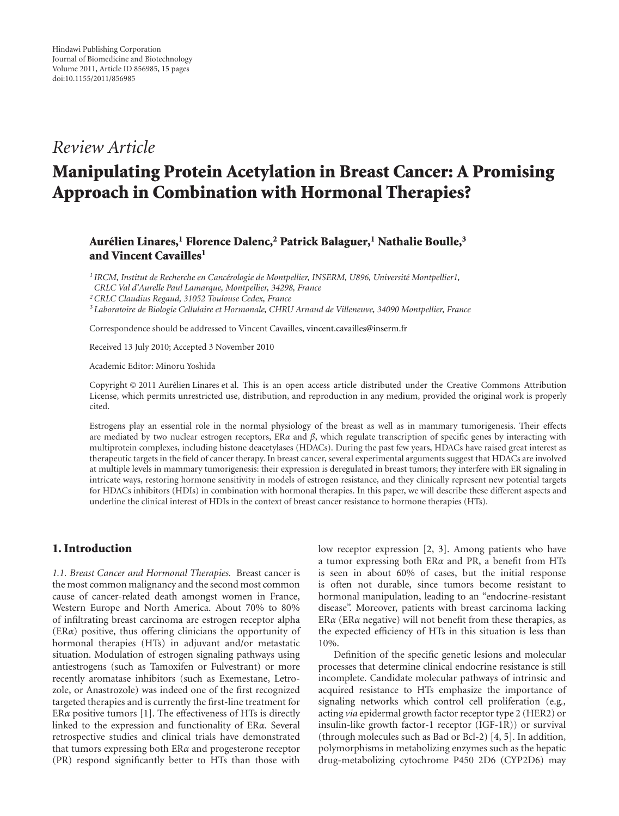### *Review Article*

## **Manipulating Protein Acetylation in Breast Cancer: A Promising Approach in Combination with Hormonal Therapies?**

#### **Aurelien Linares, ´ <sup>1</sup> Florence Dalenc,2 Patrick Balaguer,1 Nathalie Boulle,3 and Vincent Cavailles1**

<sup>1</sup> IRCM, Institut de Recherche en Cancérologie de Montpellier, INSERM, U896, Université Montpellier1,

*CRLC Val d'Aurelle Paul Lamarque, Montpellier, 34298, France*

*2CRLC Claudius Regaud, 31052 Toulouse Cedex, France*

*<sup>3</sup> Laboratoire de Biologie Cellulaire et Hormonale, CHRU Arnaud de Villeneuve, 34090 Montpellier, France*

Correspondence should be addressed to Vincent Cavailles, vincent.cavailles@inserm.fr

Received 13 July 2010; Accepted 3 November 2010

Academic Editor: Minoru Yoshida

Copyright © 2011 Aurelien Linares et al. This is an open access article distributed under the Creative Commons Attribution ´ License, which permits unrestricted use, distribution, and reproduction in any medium, provided the original work is properly cited.

Estrogens play an essential role in the normal physiology of the breast as well as in mammary tumorigenesis. Their effects are mediated by two nuclear estrogen receptors, ER*α* and *β*, which regulate transcription of specific genes by interacting with multiprotein complexes, including histone deacetylases (HDACs). During the past few years, HDACs have raised great interest as therapeutic targets in the field of cancer therapy. In breast cancer, several experimental arguments suggest that HDACs are involved at multiple levels in mammary tumorigenesis: their expression is deregulated in breast tumors; they interfere with ER signaling in intricate ways, restoring hormone sensitivity in models of estrogen resistance, and they clinically represent new potential targets for HDACs inhibitors (HDIs) in combination with hormonal therapies. In this paper, we will describe these different aspects and underline the clinical interest of HDIs in the context of breast cancer resistance to hormone therapies (HTs).

#### **1. Introduction**

*1.1. Breast Cancer and Hormonal Therapies.* Breast cancer is the most common malignancy and the second most common cause of cancer-related death amongst women in France, Western Europe and North America. About 70% to 80% of infiltrating breast carcinoma are estrogen receptor alpha (ER*α*) positive, thus offering clinicians the opportunity of hormonal therapies (HTs) in adjuvant and/or metastatic situation. Modulation of estrogen signaling pathways using antiestrogens (such as Tamoxifen or Fulvestrant) or more recently aromatase inhibitors (such as Exemestane, Letrozole, or Anastrozole) was indeed one of the first recognized targeted therapies and is currently the first-line treatment for ER*α* positive tumors [1]. The effectiveness of HTs is directly linked to the expression and functionality of ER*α*. Several retrospective studies and clinical trials have demonstrated that tumors expressing both ER*α* and progesterone receptor (PR) respond significantly better to HTs than those with

low receptor expression [2, 3]. Among patients who have a tumor expressing both ER*α* and PR, a benefit from HTs is seen in about 60% of cases, but the initial response is often not durable, since tumors become resistant to hormonal manipulation, leading to an "endocrine-resistant disease". Moreover, patients with breast carcinoma lacking ER*α* (ER*α* negative) will not benefit from these therapies, as the expected efficiency of HTs in this situation is less than 10%.

Definition of the specific genetic lesions and molecular processes that determine clinical endocrine resistance is still incomplete. Candidate molecular pathways of intrinsic and acquired resistance to HTs emphasize the importance of signaling networks which control cell proliferation (e.g*.,* acting *via* epidermal growth factor receptor type 2 (HER2) or insulin-like growth factor-1 receptor (IGF-1R)) or survival (through molecules such as Bad or Bcl-2) [4, 5]. In addition, polymorphisms in metabolizing enzymes such as the hepatic drug-metabolizing cytochrome P450 2D6 (CYP2D6) may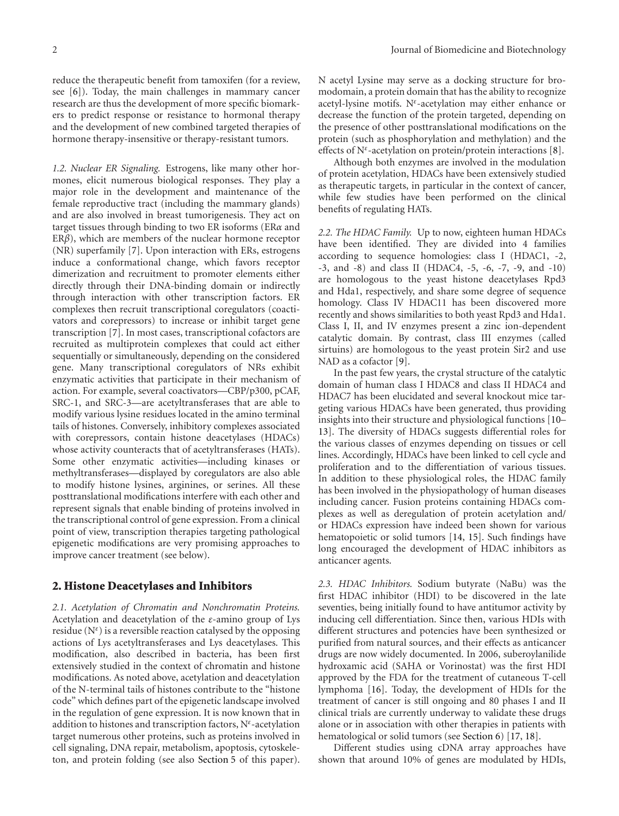reduce the therapeutic benefit from tamoxifen (for a review, see [6]). Today, the main challenges in mammary cancer research are thus the development of more specific biomarkers to predict response or resistance to hormonal therapy and the development of new combined targeted therapies of hormone therapy-insensitive or therapy-resistant tumors.

*1.2. Nuclear ER Signaling.* Estrogens, like many other hormones, elicit numerous biological responses. They play a major role in the development and maintenance of the female reproductive tract (including the mammary glands) and are also involved in breast tumorigenesis. They act on target tissues through binding to two ER isoforms (ER*α* and ER*β*), which are members of the nuclear hormone receptor (NR) superfamily [7]. Upon interaction with ERs, estrogens induce a conformational change, which favors receptor dimerization and recruitment to promoter elements either directly through their DNA-binding domain or indirectly through interaction with other transcription factors. ER complexes then recruit transcriptional coregulators (coactivators and corepressors) to increase or inhibit target gene transcription [7]. In most cases, transcriptional cofactors are recruited as multiprotein complexes that could act either sequentially or simultaneously, depending on the considered gene. Many transcriptional coregulators of NRs exhibit enzymatic activities that participate in their mechanism of action. For example, several coactivators—CBP/p300, pCAF, SRC-1, and SRC-3—are acetyltransferases that are able to modify various lysine residues located in the amino terminal tails of histones. Conversely, inhibitory complexes associated with corepressors, contain histone deacetylases (HDACs) whose activity counteracts that of acetyltransferases (HATs). Some other enzymatic activities—including kinases or methyltransferases—displayed by coregulators are also able to modify histone lysines, arginines, or serines. All these posttranslational modifications interfere with each other and represent signals that enable binding of proteins involved in the transcriptional control of gene expression. From a clinical point of view, transcription therapies targeting pathological epigenetic modifications are very promising approaches to improve cancer treatment (see below).

#### **2. Histone Deacetylases and Inhibitors**

*2.1. Acetylation of Chromatin and Nonchromatin Proteins.* Acetylation and deacetylation of the *ε*-amino group of Lys residue (N*<sup>ε</sup>* ) is a reversible reaction catalysed by the opposing actions of Lys acetyltransferases and Lys deacetylases. This modification, also described in bacteria, has been first extensively studied in the context of chromatin and histone modifications. As noted above, acetylation and deacetylation of the N-terminal tails of histones contribute to the "histone code" which defines part of the epigenetic landscape involved in the regulation of gene expression. It is now known that in addition to histones and transcription factors, N*<sup>ε</sup>* -acetylation target numerous other proteins, such as proteins involved in cell signaling, DNA repair, metabolism, apoptosis, cytoskeleton, and protein folding (see also Section 5 of this paper). N acetyl Lysine may serve as a docking structure for bromodomain, a protein domain that has the ability to recognize acetyl-lysine motifs. N*<sup>ε</sup>* -acetylation may either enhance or decrease the function of the protein targeted, depending on the presence of other posttranslational modifications on the protein (such as phosphorylation and methylation) and the effects of N*<sup>ε</sup>* -acetylation on protein/protein interactions [8].

Although both enzymes are involved in the modulation of protein acetylation, HDACs have been extensively studied as therapeutic targets, in particular in the context of cancer, while few studies have been performed on the clinical benefits of regulating HATs.

*2.2. The HDAC Family.* Up to now, eighteen human HDACs have been identified. They are divided into 4 families according to sequence homologies: class I (HDAC1, -2, -3, and -8) and class II (HDAC4, -5, -6, -7, -9, and -10) are homologous to the yeast histone deacetylases Rpd3 and Hda1, respectively, and share some degree of sequence homology. Class IV HDAC11 has been discovered more recently and shows similarities to both yeast Rpd3 and Hda1. Class I, II, and IV enzymes present a zinc ion-dependent catalytic domain. By contrast, class III enzymes (called sirtuins) are homologous to the yeast protein Sir2 and use NAD as a cofactor [9].

In the past few years, the crystal structure of the catalytic domain of human class I HDAC8 and class II HDAC4 and HDAC7 has been elucidated and several knockout mice targeting various HDACs have been generated, thus providing insights into their structure and physiological functions [10– 13]. The diversity of HDACs suggests differential roles for the various classes of enzymes depending on tissues or cell lines. Accordingly, HDACs have been linked to cell cycle and proliferation and to the differentiation of various tissues. In addition to these physiological roles, the HDAC family has been involved in the physiopathology of human diseases including cancer. Fusion proteins containing HDACs complexes as well as deregulation of protein acetylation and/ or HDACs expression have indeed been shown for various hematopoietic or solid tumors [14, 15]. Such findings have long encouraged the development of HDAC inhibitors as anticancer agents.

*2.3. HDAC Inhibitors.* Sodium butyrate (NaBu) was the first HDAC inhibitor (HDI) to be discovered in the late seventies, being initially found to have antitumor activity by inducing cell differentiation. Since then, various HDIs with different structures and potencies have been synthesized or purified from natural sources, and their effects as anticancer drugs are now widely documented. In 2006, suberoylanilide hydroxamic acid (SAHA or Vorinostat) was the first HDI approved by the FDA for the treatment of cutaneous T-cell lymphoma [16]. Today, the development of HDIs for the treatment of cancer is still ongoing and 80 phases I and II clinical trials are currently underway to validate these drugs alone or in association with other therapies in patients with hematological or solid tumors (see Section 6) [17, 18].

Different studies using cDNA array approaches have shown that around 10% of genes are modulated by HDIs,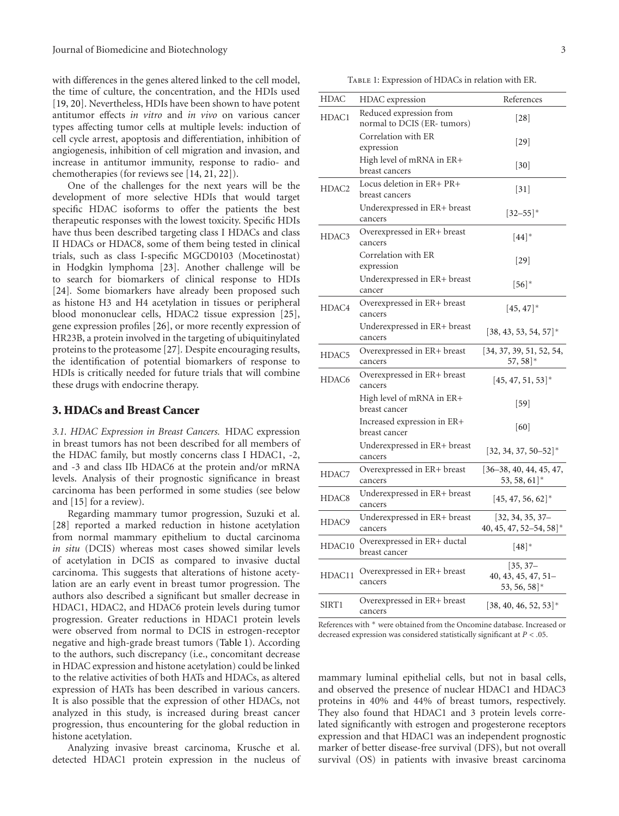with differences in the genes altered linked to the cell model, the time of culture, the concentration, and the HDIs used [19, 20]. Nevertheless, HDIs have been shown to have potent antitumor effects *in vitro* and *in vivo* on various cancer types affecting tumor cells at multiple levels: induction of cell cycle arrest, apoptosis and differentiation, inhibition of angiogenesis, inhibition of cell migration and invasion, and increase in antitumor immunity, response to radio- and chemotherapies (for reviews see [14, 21, 22]).

One of the challenges for the next years will be the development of more selective HDIs that would target specific HDAC isoforms to offer the patients the best therapeutic responses with the lowest toxicity. Specific HDIs have thus been described targeting class I HDACs and class II HDACs or HDAC8, some of them being tested in clinical trials, such as class I-specific MGCD0103 (Mocetinostat) in Hodgkin lymphoma [23]. Another challenge will be to search for biomarkers of clinical response to HDIs [24]. Some biomarkers have already been proposed such as histone H3 and H4 acetylation in tissues or peripheral blood mononuclear cells, HDAC2 tissue expression [25], gene expression profiles [26], or more recently expression of HR23B, a protein involved in the targeting of ubiquitinylated proteins to the proteasome [27]*.* Despite encouraging results, the identification of potential biomarkers of response to HDIs is critically needed for future trials that will combine these drugs with endocrine therapy.

#### **3. HDACs and Breast Cancer**

*3.1. HDAC Expression in Breast Cancers.* HDAC expression in breast tumors has not been described for all members of the HDAC family, but mostly concerns class I HDAC1, -2, and -3 and class IIb HDAC6 at the protein and/or mRNA levels. Analysis of their prognostic significance in breast carcinoma has been performed in some studies (see below and [15] for a review).

Regarding mammary tumor progression, Suzuki et al. [28] reported a marked reduction in histone acetylation from normal mammary epithelium to ductal carcinoma *in situ* (DCIS) whereas most cases showed similar levels of acetylation in DCIS as compared to invasive ductal carcinoma. This suggests that alterations of histone acetylation are an early event in breast tumor progression. The authors also described a significant but smaller decrease in HDAC1, HDAC2, and HDAC6 protein levels during tumor progression. Greater reductions in HDAC1 protein levels were observed from normal to DCIS in estrogen-receptor negative and high-grade breast tumors (Table 1). According to the authors, such discrepancy (i.e., concomitant decrease in HDAC expression and histone acetylation) could be linked to the relative activities of both HATs and HDACs, as altered expression of HATs has been described in various cancers. It is also possible that the expression of other HDACs, not analyzed in this study, is increased during breast cancer progression, thus encountering for the global reduction in histone acetylation.

Analyzing invasive breast carcinoma, Krusche et al. detected HDAC1 protein expression in the nucleus of

Table 1: Expression of HDACs in relation with ER.

| HDAC              | HDAC expression                                       | References                                                            |  |
|-------------------|-------------------------------------------------------|-----------------------------------------------------------------------|--|
| HDAC1             | Reduced expression from<br>normal to DCIS (ER-tumors) | [28]                                                                  |  |
|                   | Correlation with ER<br>expression                     | 29                                                                    |  |
|                   | High level of mRNA in ER+<br>breast cancers           | $\left[30\right]$                                                     |  |
| HDAC <sub>2</sub> | Locus deletion in ER+ PR+<br>breast cancers           | $\lceil 31 \rceil$                                                    |  |
|                   | Underexpressed in ER+ breast<br>cancers               | $[32 - 55]$ *                                                         |  |
| HDAC3             | Overexpressed in ER+ breast<br>cancers                | $[44]^*$                                                              |  |
|                   | Correlation with ER<br>expression                     | $\left[29\right]$                                                     |  |
|                   | Underexpressed in ER+ breast<br>cancer                | $[56]^*$                                                              |  |
| HDAC4             | Overexpressed in ER+ breast<br>cancers                | $[45, 47]$ *                                                          |  |
|                   | Underexpressed in ER+ breast<br>cancers               | $[38, 43, 53, 54, 57]$ *                                              |  |
| HDAC5             | Overexpressed in ER+ breast<br>cancers                | [34, 37, 39, 51, 52, 54,<br>$57,58$ <sup>*</sup>                      |  |
| HDAC6             | Overexpressed in ER+ breast<br>cancers                | $[45, 47, 51, 53]$ *                                                  |  |
|                   | High level of mRNA in $ER+$<br>breast cancer          | $[59]$                                                                |  |
|                   | Increased expression in ER+<br>breast cancer          | [60]                                                                  |  |
|                   | Underexpressed in ER+ breast<br>cancers               | $[32, 34, 37, 50 - 52]$ *                                             |  |
| HDAC7             | Overexpressed in ER+ breast<br>cancers                | $\left[36 - 38, 40, 44, 45, 47, \right]$<br>$53, 58, 61$ <sup>*</sup> |  |
| HDAC8             | Underexpressed in ER+ breast<br>cancers               | $[45, 47, 56, 62]^*$                                                  |  |
| HDAC9             | Underexpressed in ER+ breast<br>cancers               | $[32, 34, 35, 37-$<br>40, 45, 47, 52-54, 58]*                         |  |
| HDAC10            | Overexpressed in ER+ ductal<br>breast cancer          | $[48]^*$                                                              |  |
| HDAC11            | Overexpressed in ER+ breast<br>cancers                | $[35, 37-$<br>$40, 43, 45, 47, 51 -$<br>$53, 56, 58$ <sup>*</sup>     |  |
| SIRT1             | Overexpressed in ER+ breast<br>cancers                | $[38, 40, 46, 52, 53]$ *                                              |  |

References with  $*$  were obtained from the Oncomine database. Increased or decreased expression was considered statistically significant at *P<.*05.

mammary luminal epithelial cells, but not in basal cells, and observed the presence of nuclear HDAC1 and HDAC3 proteins in 40% and 44% of breast tumors, respectively. They also found that HDAC1 and 3 protein levels correlated significantly with estrogen and progesterone receptors expression and that HDAC1 was an independent prognostic marker of better disease-free survival (DFS), but not overall survival (OS) in patients with invasive breast carcinoma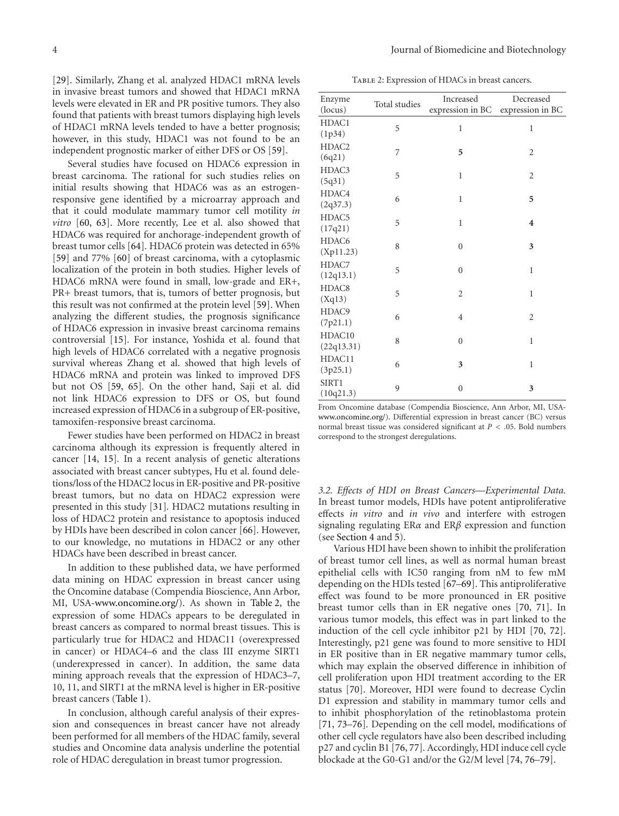[29]. Similarly, Zhang et al. analyzed HDAC1 mRNA levels in invasive breast tumors and showed that HDAC1 mRNA levels were elevated in ER and PR positive tumors. They also found that patients with breast tumors displaying high levels of HDAC1 mRNA levels tended to have a better prognosis; however, in this study, HDAC1 was not found to be an independent prognostic marker of either DFS or OS [59].

Several studies have focused on HDAC6 expression in breast carcinoma. The rational for such studies relies on initial results showing that HDAC6 was as an estrogenresponsive gene identified by a microarray approach and that it could modulate mammary tumor cell motility *in vitro* [60, 63]. More recently, Lee et al. also showed that HDAC6 was required for anchorage-independent growth of breast tumor cells [64]*.* HDAC6 protein was detected in 65% [59] and 77% [60] of breast carcinoma, with a cytoplasmic localization of the protein in both studies. Higher levels of HDAC6 mRNA were found in small, low-grade and ER+, PR+ breast tumors, that is, tumors of better prognosis, but this result was not confirmed at the protein level [59]. When analyzing the different studies, the prognosis significance of HDAC6 expression in invasive breast carcinoma remains controversial [15]*.* For instance, Yoshida et al. found that high levels of HDAC6 correlated with a negative prognosis survival whereas Zhang et al. showed that high levels of HDAC6 mRNA and protein was linked to improved DFS but not OS [59, 65]*.* On the other hand, Saji et al. did not link HDAC6 expression to DFS or OS, but found increased expression of HDAC6 in a subgroup of ER-positive, tamoxifen-responsive breast carcinoma.

Fewer studies have been performed on HDAC2 in breast carcinoma although its expression is frequently altered in cancer [14, 15]*.* In a recent analysis of genetic alterations associated with breast cancer subtypes, Hu et al. found deletions/loss of the HDAC2 locus in ER-positive and PR-positive breast tumors, but no data on HDAC2 expression were presented in this study [31]*.* HDAC2 mutations resulting in loss of HDAC2 protein and resistance to apoptosis induced by HDIs have been described in colon cancer [66]. However, to our knowledge, no mutations in HDAC2 or any other HDACs have been described in breast cancer.

In addition to these published data, we have performed data mining on HDAC expression in breast cancer using the Oncomine database (Compendia Bioscience, Ann Arbor, MI, USA-www.oncomine.org/). As shown in Table 2, the expression of some HDACs appears to be deregulated in breast cancers as compared to normal breast tissues. This is particularly true for HDAC2 and HDAC11 (overexpressed in cancer) or HDAC4–6 and the class III enzyme SIRT1 (underexpressed in cancer). In addition, the same data mining approach reveals that the expression of HDAC3–7, 10, 11, and SIRT1 at the mRNA level is higher in ER-positive breast cancers (Table 1).

In conclusion, although careful analysis of their expression and consequences in breast cancer have not already been performed for all members of the HDAC family, several studies and Oncomine data analysis underline the potential role of HDAC deregulation in breast tumor progression.

Table 2: Expression of HDACs in breast cancers.

| Enzyme<br>(locus)           | Total studies | Increased<br>expression in BC | Decreased<br>expression in BC |
|-----------------------------|---------------|-------------------------------|-------------------------------|
| HDAC1<br>(1p34)             | 5             | $\mathbf{1}$                  | $\mathbf{1}$                  |
| HDAC <sub>2</sub><br>(6q21) | 7             | 5                             | $\overline{2}$                |
| HDAC3<br>(5q31)             | 5             | 1                             | $\overline{2}$                |
| HDAC4<br>(2q37.3)           | 6             | $\mathbf{1}$                  | 5                             |
| HDAC5<br>(17q21)            | 5             | 1                             | $\overline{\mathbf{4}}$       |
| HDAC6<br>(Xp11.23)          | 8             | $\boldsymbol{0}$              | 3                             |
| HDAC7<br>(12q13.1)          | 5             | $\mathbf{0}$                  | $\mathbf{1}$                  |
| HDAC8<br>(Xq13)             | 5             | $\overline{2}$                | $\mathbf{1}$                  |
| HDAC9<br>(7p21.1)           | 6             | $\overline{4}$                | $\overline{2}$                |
| HDAC10<br>(22q13.31)        | 8             | $\mathbf{0}$                  | $\mathbf{1}$                  |
| HDAC11<br>(3p25.1)          | 6             | 3                             | $\mathbf{1}$                  |
| SIRT1<br>(10q21.3)          | 9             | $\overline{0}$                | 3                             |

From Oncomine database (Compendia Bioscience, Ann Arbor, MI, USAwww.oncomine.org/). Differential expression in breast cancer (BC) versus normal breast tissue was considered significant at *P<.*05. Bold numbers correspond to the strongest deregulations.

*3.2. Effects of HDI on Breast Cancers—Experimental Data.* In breast tumor models, HDIs have potent antiproliferative effects *in vitro* and *in vivo* and interfere with estrogen signaling regulating ER*α* and ER*β* expression and function (see Section 4 and 5).

Various HDI have been shown to inhibit the proliferation of breast tumor cell lines, as well as normal human breast epithelial cells with IC50 ranging from nM to few mM depending on the HDIs tested [67–69]. This antiproliferative effect was found to be more pronounced in ER positive breast tumor cells than in ER negative ones [70, 71]. In various tumor models, this effect was in part linked to the induction of the cell cycle inhibitor p21 by HDI [70, 72]. Interestingly, p21 gene was found to more sensitive to HDI in ER positive than in ER negative mammary tumor cells, which may explain the observed difference in inhibition of cell proliferation upon HDI treatment according to the ER status [70]. Moreover, HDI were found to decrease Cyclin D1 expression and stability in mammary tumor cells and to inhibit phosphorylation of the retinoblastoma protein [71, 73–76]*.* Depending on the cell model, modifications of other cell cycle regulators have also been described including p27 and cyclin B1 [76, 77]*.* Accordingly, HDI induce cell cycle blockade at the G0-G1 and/or the G2/M level [74, 76–79].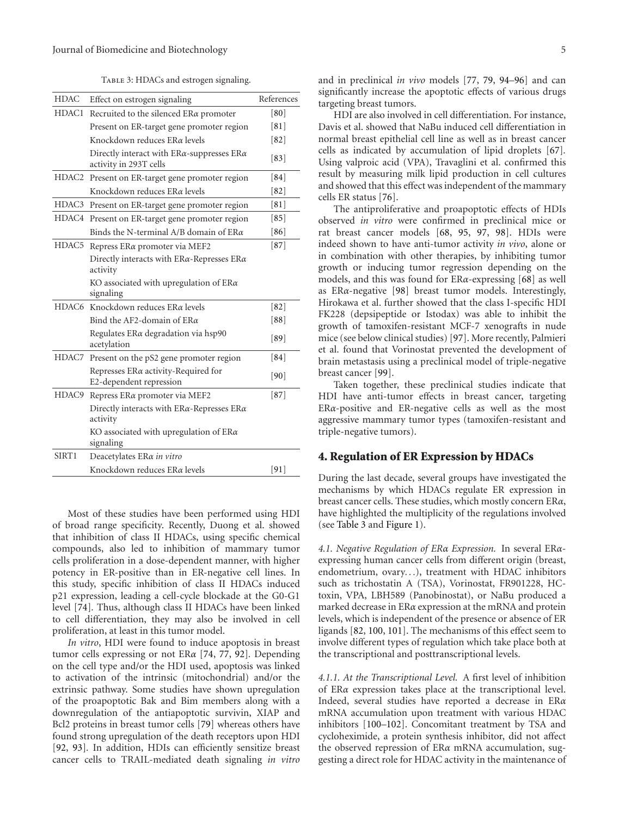TABLE 3: HDACs and estrogen signaling.

| <b>HDAC</b> | Effect on estrogen signaling                                                       | References |
|-------------|------------------------------------------------------------------------------------|------------|
| HDAC1       | Recruited to the silenced $ER\alpha$ promoter                                      | [80]       |
|             | Present on ER-target gene promoter region                                          | [81]       |
|             | Knockdown reduces ΕRα levels                                                       | [82]       |
|             | Directly interact with $ER\alpha$ -suppresses $ER\alpha$<br>activity in 293T cells | [83]       |
|             | HDAC2 Present on ER-target gene promoter region                                    | [84]       |
|             | Knockdown reduces ΕRα levels                                                       | [82]       |
| HDAC3       | Present on ER-target gene promoter region                                          | [81]       |
|             | HDAC4 Present on ER-target gene promoter region                                    | [85]       |
|             | Binds the N-terminal A/B domain of $ER\alpha$                                      | [86]       |
| HDAC5       | Repress ERa promoter via MEF2                                                      | [87]       |
|             | Directly interacts with $ER\alpha$ -Represses $ER\alpha$<br>activity               |            |
|             | KO associated with upregulation of $ER\alpha$<br>signaling                         |            |
|             | HDAC6 Knockdown reduces ΕRα levels                                                 | [82]       |
|             | Bind the AF2-domain of $ER\alpha$                                                  | [88]       |
|             | Regulates $ER\alpha$ degradation via hsp90<br>acetylation                          | [89]       |
| HDAC7       | Present on the pS2 gene promoter region                                            | [84]       |
|             | Represses $ER\alpha$ activity-Required for<br>E2-dependent repression              | [90]       |
| HDAC9       | Repress ERa promoter via MEF2                                                      | $[87]$     |
|             | Directly interacts with $ER\alpha$ -Represses $ER\alpha$<br>activity               |            |
|             | KO associated with upregulation of $ER\alpha$<br>signaling                         |            |
| SIRT1       | Deacetylates ERa in vitro                                                          |            |
|             | Knockdown reduces ΕRα levels                                                       | $[91]$     |

Most of these studies have been performed using HDI of broad range specificity. Recently, Duong et al. showed that inhibition of class II HDACs, using specific chemical compounds, also led to inhibition of mammary tumor cells proliferation in a dose-dependent manner, with higher potency in ER-positive than in ER-negative cell lines. In this study, specific inhibition of class II HDACs induced p21 expression, leading a cell-cycle blockade at the G0-G1 level [74]*.* Thus, although class II HDACs have been linked to cell differentiation, they may also be involved in cell proliferation, at least in this tumor model.

*In vitro*, HDI were found to induce apoptosis in breast tumor cells expressing or not ER*α* [74, 77, 92]*.* Depending on the cell type and/or the HDI used, apoptosis was linked to activation of the intrinsic (mitochondrial) and/or the extrinsic pathway. Some studies have shown upregulation of the proapoptotic Bak and Bim members along with a downregulation of the antiapoptotic survivin, XIAP and Bcl2 proteins in breast tumor cells [79] whereas others have found strong upregulation of the death receptors upon HDI [92, 93]*.* In addition, HDIs can efficiently sensitize breast cancer cells to TRAIL-mediated death signaling *in vitro* and in preclinical *in vivo* models [77, 79, 94–96] and can significantly increase the apoptotic effects of various drugs targeting breast tumors.

HDI are also involved in cell differentiation. For instance, Davis et al. showed that NaBu induced cell differentiation in normal breast epithelial cell line as well as in breast cancer cells as indicated by accumulation of lipid droplets [67]*.* Using valproic acid (VPA), Travaglini et al. confirmed this result by measuring milk lipid production in cell cultures and showed that this effect was independent of the mammary cells ER status [76].

The antiproliferative and proapoptotic effects of HDIs observed *in vitro* were confirmed in preclinical mice or rat breast cancer models [68, 95, 97, 98]. HDIs were indeed shown to have anti-tumor activity *in vivo*, alone or in combination with other therapies, by inhibiting tumor growth or inducing tumor regression depending on the models, and this was found for ER*α*-expressing [68] as well as ER*α*-negative [98] breast tumor models. Interestingly, Hirokawa et al. further showed that the class I-specific HDI FK228 (depsipeptide or Istodax) was able to inhibit the growth of tamoxifen-resistant MCF-7 xenografts in nude mice (see below clinical studies) [97]. More recently, Palmieri et al. found that Vorinostat prevented the development of brain metastasis using a preclinical model of triple-negative breast cancer [99].

Taken together, these preclinical studies indicate that HDI have anti-tumor effects in breast cancer, targeting ER*α*-positive and ER-negative cells as well as the most aggressive mammary tumor types (tamoxifen-resistant and triple-negative tumors).

#### **4. Regulation of ER Expression by HDACs**

During the last decade, several groups have investigated the mechanisms by which HDACs regulate ER expression in breast cancer cells. These studies, which mostly concern ER*α*, have highlighted the multiplicity of the regulations involved (see Table 3 and Figure 1).

*4.1. Negative Regulation of ERα Expression.* In several ER*α*expressing human cancer cells from different origin (breast, endometrium, ovary*...*), treatment with HDAC inhibitors such as trichostatin A (TSA), Vorinostat, FR901228, HCtoxin, VPA, LBH589 (Panobinostat), or NaBu produced a marked decrease in ER*α* expression at the mRNA and protein levels, which is independent of the presence or absence of ER ligands [82, 100, 101]. The mechanisms of this effect seem to involve different types of regulation which take place both at the transcriptional and posttranscriptional levels.

*4.1.1. At the Transcriptional Level.* A first level of inhibition of ER*α* expression takes place at the transcriptional level. Indeed, several studies have reported a decrease in ER*α* mRNA accumulation upon treatment with various HDAC inhibitors [100–102]. Concomitant treatment by TSA and cycloheximide, a protein synthesis inhibitor, did not affect the observed repression of ER*α* mRNA accumulation, suggesting a direct role for HDAC activity in the maintenance of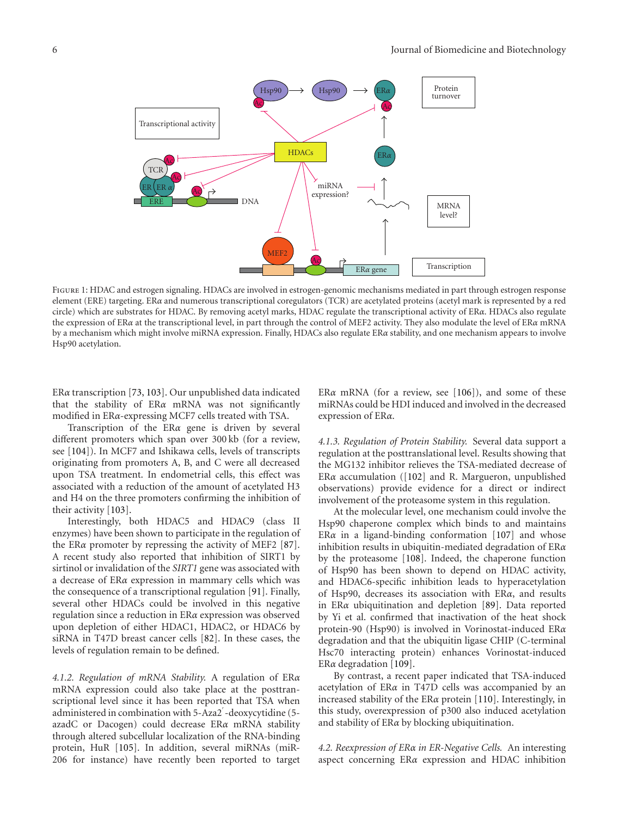

Figure 1: HDAC and estrogen signaling. HDACs are involved in estrogen-genomic mechanisms mediated in part through estrogen response element (ERE) targeting. ER*α* and numerous transcriptional coregulators (TCR) are acetylated proteins (acetyl mark is represented by a red circle) which are substrates for HDAC. By removing acetyl marks, HDAC regulate the transcriptional activity of ER*α*. HDACs also regulate the expression of ER*α* at the transcriptional level, in part through the control of MEF2 activity. They also modulate the level of ER*α* mRNA by a mechanism which might involve miRNA expression. Finally, HDACs also regulate ER*α* stability, and one mechanism appears to involve Hsp90 acetylation.

ER*α* transcription [73, 103]. Our unpublished data indicated that the stability of ER*α* mRNA was not significantly modified in ER*α*-expressing MCF7 cells treated with TSA.

Transcription of the ER*α* gene is driven by several different promoters which span over 300 kb (for a review, see [104]). In MCF7 and Ishikawa cells, levels of transcripts originating from promoters A, B, and C were all decreased upon TSA treatment. In endometrial cells, this effect was associated with a reduction of the amount of acetylated H3 and H4 on the three promoters confirming the inhibition of their activity [103].

Interestingly, both HDAC5 and HDAC9 (class II enzymes) have been shown to participate in the regulation of the ER*α* promoter by repressing the activity of MEF2 [87]. A recent study also reported that inhibition of SIRT1 by sirtinol or invalidation of the *SIRT1* gene was associated with a decrease of ER*α* expression in mammary cells which was the consequence of a transcriptional regulation [91]. Finally, several other HDACs could be involved in this negative regulation since a reduction in ER*α* expression was observed upon depletion of either HDAC1, HDAC2, or HDAC6 by siRNA in T47D breast cancer cells [82]. In these cases, the levels of regulation remain to be defined.

*4.1.2. Regulation of mRNA Stability.* A regulation of ER*α* mRNA expression could also take place at the posttranscriptional level since it has been reported that TSA when administered in combination with 5-Aza2 -deoxycytidine (5 azadC or Dacogen) could decrease ER*α* mRNA stability through altered subcellular localization of the RNA-binding protein, HuR [105]. In addition, several miRNAs (miR-206 for instance) have recently been reported to target

ER*α* mRNA (for a review, see [106]), and some of these miRNAs could be HDI induced and involved in the decreased expression of ER*α*.

*4.1.3. Regulation of Protein Stability.* Several data support a regulation at the posttranslational level. Results showing that the MG132 inhibitor relieves the TSA-mediated decrease of ER*α* accumulation ([102] and R. Margueron, unpublished observations) provide evidence for a direct or indirect involvement of the proteasome system in this regulation.

At the molecular level, one mechanism could involve the Hsp90 chaperone complex which binds to and maintains ER*α* in a ligand-binding conformation [107] and whose inhibition results in ubiquitin-mediated degradation of ER*α* by the proteasome [108]. Indeed, the chaperone function of Hsp90 has been shown to depend on HDAC activity, and HDAC6-specific inhibition leads to hyperacetylation of Hsp90, decreases its association with ER*α*, and results in ER*α* ubiquitination and depletion [89]. Data reported by Yi et al. confirmed that inactivation of the heat shock protein-90 (Hsp90) is involved in Vorinostat-induced ER*α* degradation and that the ubiquitin ligase CHIP (C-terminal Hsc70 interacting protein) enhances Vorinostat-induced ER*α* degradation [109].

By contrast, a recent paper indicated that TSA-induced acetylation of ER*α* in T47D cells was accompanied by an increased stability of the ER*α* protein [110]. Interestingly, in this study, overexpression of p300 also induced acetylation and stability of ER*α* by blocking ubiquitination.

*4.2. Reexpression of ERα in ER-Negative Cells.* An interesting aspect concerning ER*α* expression and HDAC inhibition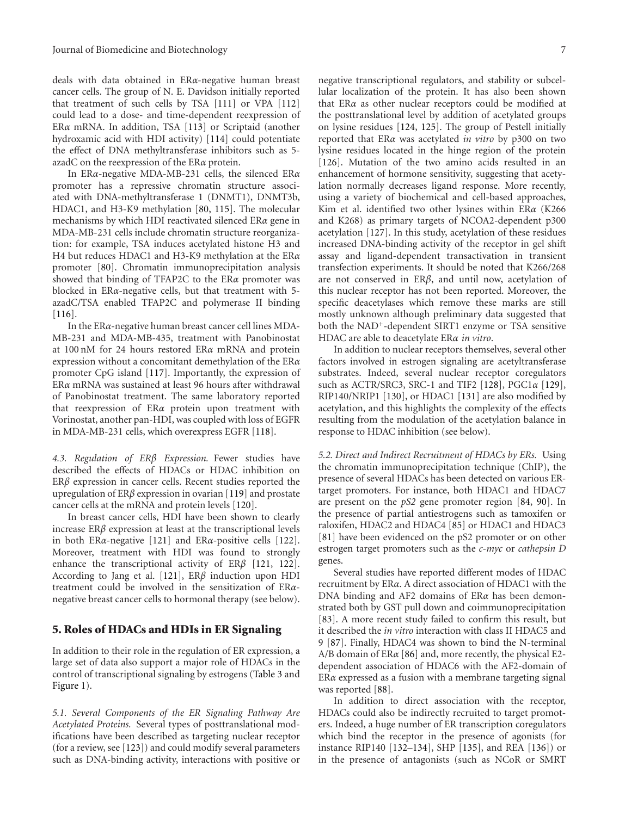deals with data obtained in ER*α*-negative human breast cancer cells. The group of N. E. Davidson initially reported that treatment of such cells by TSA [111] or VPA [112] could lead to a dose- and time-dependent reexpression of ER*α* mRNA. In addition, TSA [113] or Scriptaid (another hydroxamic acid with HDI activity) [114] could potentiate the effect of DNA methyltransferase inhibitors such as 5 azadC on the reexpression of the ER*α* protein.

In ER*α*-negative MDA-MB-231 cells, the silenced ER*α* promoter has a repressive chromatin structure associated with DNA-methyltransferase 1 (DNMT1), DNMT3b, HDAC1, and H3-K9 methylation [80, 115]. The molecular mechanisms by which HDI reactivated silenced ER*α* gene in MDA-MB-231 cells include chromatin structure reorganization: for example, TSA induces acetylated histone H3 and H4 but reduces HDAC1 and H3-K9 methylation at the ER*α* promoter [80]. Chromatin immunoprecipitation analysis showed that binding of TFAP2C to the ER*α* promoter was blocked in ER*α*-negative cells, but that treatment with 5 azadC/TSA enabled TFAP2C and polymerase II binding  $[116]$ .

In the ER*α*-negative human breast cancer cell lines MDA-MB-231 and MDA-MB-435, treatment with Panobinostat at 100 nM for 24 hours restored ER*α* mRNA and protein expression without a concomitant demethylation of the ER*α* promoter CpG island [117]. Importantly, the expression of ER*α* mRNA was sustained at least 96 hours after withdrawal of Panobinostat treatment. The same laboratory reported that reexpression of ER*α* protein upon treatment with Vorinostat, another pan-HDI, was coupled with loss of EGFR in MDA-MB-231 cells, which overexpress EGFR [118].

*4.3. Regulation of ERβ Expression.* Fewer studies have described the effects of HDACs or HDAC inhibition on ER*β* expression in cancer cells. Recent studies reported the upregulation of ER*β* expression in ovarian [119] and prostate cancer cells at the mRNA and protein levels [120].

In breast cancer cells, HDI have been shown to clearly increase ER*β* expression at least at the transcriptional levels in both ER*α*-negative [121] and ER*α*-positive cells [122]. Moreover, treatment with HDI was found to strongly enhance the transcriptional activity of ER*β* [121, 122]. According to Jang et al. [121], ER*β* induction upon HDI treatment could be involved in the sensitization of ER*α*negative breast cancer cells to hormonal therapy (see below).

#### **5. Roles of HDACs and HDIs in ER Signaling**

In addition to their role in the regulation of ER expression, a large set of data also support a major role of HDACs in the control of transcriptional signaling by estrogens (Table 3 and Figure 1).

*5.1. Several Components of the ER Signaling Pathway Are Acetylated Proteins.* Several types of posttranslational modifications have been described as targeting nuclear receptor (for a review, see [123]) and could modify several parameters such as DNA-binding activity, interactions with positive or

negative transcriptional regulators, and stability or subcellular localization of the protein. It has also been shown that ER*α* as other nuclear receptors could be modified at the posttranslational level by addition of acetylated groups on lysine residues [124, 125]. The group of Pestell initially reported that ER*α* was acetylated *in vitro* by p300 on two lysine residues located in the hinge region of the protein [126]. Mutation of the two amino acids resulted in an enhancement of hormone sensitivity, suggesting that acetylation normally decreases ligand response. More recently, using a variety of biochemical and cell-based approaches, Kim et al. identified two other lysines within ER*α* (K266 and K268) as primary targets of NCOA2-dependent p300 acetylation [127]. In this study, acetylation of these residues increased DNA-binding activity of the receptor in gel shift assay and ligand-dependent transactivation in transient transfection experiments. It should be noted that K266/268 are not conserved in ER*β*, and until now, acetylation of this nuclear receptor has not been reported. Moreover, the specific deacetylases which remove these marks are still mostly unknown although preliminary data suggested that both the NAD+-dependent SIRT1 enzyme or TSA sensitive HDAC are able to deacetylate ER*α in vitro*.

In addition to nuclear receptors themselves, several other factors involved in estrogen signaling are acetyltransferase substrates. Indeed, several nuclear receptor coregulators such as ACTR/SRC3, SRC-1 and TIF2 [128], PGC1*α* [129], RIP140/NRIP1 [130], or HDAC1 [131] are also modified by acetylation, and this highlights the complexity of the effects resulting from the modulation of the acetylation balance in response to HDAC inhibition (see below).

*5.2. Direct and Indirect Recruitment of HDACs by ERs.* Using the chromatin immunoprecipitation technique (ChIP), the presence of several HDACs has been detected on various ERtarget promoters. For instance, both HDAC1 and HDAC7 are present on the *pS2* gene promoter region [84, 90]. In the presence of partial antiestrogens such as tamoxifen or raloxifen, HDAC2 and HDAC4 [85] or HDAC1 and HDAC3 [81] have been evidenced on the pS2 promoter or on other estrogen target promoters such as the *c-myc* or *cathepsin D* genes.

Several studies have reported different modes of HDAC recruitment by ER*α*. A direct association of HDAC1 with the DNA binding and AF2 domains of ER*α* has been demonstrated both by GST pull down and coimmunoprecipitation [83]. A more recent study failed to confirm this result, but it described the *in vitro* interaction with class II HDAC5 and 9 [87]. Finally, HDAC4 was shown to bind the N-terminal A/B domain of ER*α* [86] and, more recently, the physical E2 dependent association of HDAC6 with the AF2-domain of ER*α* expressed as a fusion with a membrane targeting signal was reported [88].

In addition to direct association with the receptor, HDACs could also be indirectly recruited to target promoters. Indeed, a huge number of ER transcription coregulators which bind the receptor in the presence of agonists (for instance RIP140 [132–134], SHP [135], and REA [136]) or in the presence of antagonists (such as NCoR or SMRT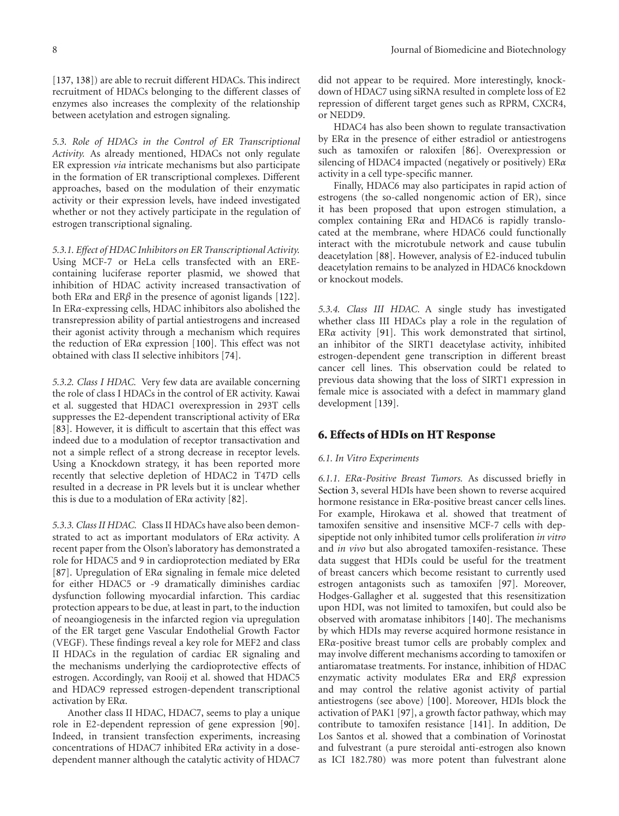[137, 138]) are able to recruit different HDACs. This indirect recruitment of HDACs belonging to the different classes of enzymes also increases the complexity of the relationship between acetylation and estrogen signaling.

*5.3. Role of HDACs in the Control of ER Transcriptional Activity.* As already mentioned, HDACs not only regulate ER expression *via* intricate mechanisms but also participate in the formation of ER transcriptional complexes. Different approaches, based on the modulation of their enzymatic activity or their expression levels, have indeed investigated whether or not they actively participate in the regulation of estrogen transcriptional signaling.

*5.3.1. Effect of HDAC Inhibitors on ER Transcriptional Activity.* Using MCF-7 or HeLa cells transfected with an EREcontaining luciferase reporter plasmid, we showed that inhibition of HDAC activity increased transactivation of both ER*α* and ER*β* in the presence of agonist ligands [122]. In ER*α*-expressing cells, HDAC inhibitors also abolished the transrepression ability of partial antiestrogens and increased their agonist activity through a mechanism which requires the reduction of ER*α* expression [100]. This effect was not obtained with class II selective inhibitors [74].

*5.3.2. Class I HDAC.* Very few data are available concerning the role of class I HDACs in the control of ER activity. Kawai et al. suggested that HDAC1 overexpression in 293T cells suppresses the E2-dependent transcriptional activity of ER*α* [83]. However, it is difficult to ascertain that this effect was indeed due to a modulation of receptor transactivation and not a simple reflect of a strong decrease in receptor levels. Using a Knockdown strategy, it has been reported more recently that selective depletion of HDAC2 in T47D cells resulted in a decrease in PR levels but it is unclear whether this is due to a modulation of ER*α* activity [82].

*5.3.3. Class II HDAC.* Class II HDACs have also been demonstrated to act as important modulators of ER*α* activity. A recent paper from the Olson's laboratory has demonstrated a role for HDAC5 and 9 in cardioprotection mediated by ER*α* [87]. Upregulation of ER*α* signaling in female mice deleted for either HDAC5 or -9 dramatically diminishes cardiac dysfunction following myocardial infarction. This cardiac protection appears to be due, at least in part, to the induction of neoangiogenesis in the infarcted region via upregulation of the ER target gene Vascular Endothelial Growth Factor (VEGF). These findings reveal a key role for MEF2 and class II HDACs in the regulation of cardiac ER signaling and the mechanisms underlying the cardioprotective effects of estrogen. Accordingly, van Rooij et al. showed that HDAC5 and HDAC9 repressed estrogen-dependent transcriptional activation by ER*α*.

Another class II HDAC, HDAC7, seems to play a unique role in E2-dependent repression of gene expression [90]. Indeed, in transient transfection experiments, increasing concentrations of HDAC7 inhibited ER*α* activity in a dosedependent manner although the catalytic activity of HDAC7

did not appear to be required. More interestingly, knockdown of HDAC7 using siRNA resulted in complete loss of E2 repression of different target genes such as RPRM, CXCR4, or NEDD9.

HDAC4 has also been shown to regulate transactivation by ER*α* in the presence of either estradiol or antiestrogens such as tamoxifen or raloxifen [86]. Overexpression or silencing of HDAC4 impacted (negatively or positively) ER*α* activity in a cell type-specific manner.

Finally, HDAC6 may also participates in rapid action of estrogens (the so-called nongenomic action of ER), since it has been proposed that upon estrogen stimulation, a complex containing ER*α* and HDAC6 is rapidly translocated at the membrane, where HDAC6 could functionally interact with the microtubule network and cause tubulin deacetylation [88]. However, analysis of E2-induced tubulin deacetylation remains to be analyzed in HDAC6 knockdown or knockout models.

*5.3.4. Class III HDAC.* A single study has investigated whether class III HDACs play a role in the regulation of ER*α* activity [91]. This work demonstrated that sirtinol, an inhibitor of the SIRT1 deacetylase activity, inhibited estrogen-dependent gene transcription in different breast cancer cell lines. This observation could be related to previous data showing that the loss of SIRT1 expression in female mice is associated with a defect in mammary gland development [139].

#### **6. Effects of HDIs on HT Response**

#### *6.1. In Vitro Experiments*

*6.1.1. ERα-Positive Breast Tumors.* As discussed briefly in Section 3, several HDIs have been shown to reverse acquired hormone resistance in ER*α*-positive breast cancer cells lines. For example, Hirokawa et al. showed that treatment of tamoxifen sensitive and insensitive MCF-7 cells with depsipeptide not only inhibited tumor cells proliferation *in vitro* and *in vivo* but also abrogated tamoxifen-resistance. These data suggest that HDIs could be useful for the treatment of breast cancers which become resistant to currently used estrogen antagonists such as tamoxifen [97]. Moreover, Hodges-Gallagher et al. suggested that this resensitization upon HDI, was not limited to tamoxifen, but could also be observed with aromatase inhibitors [140]. The mechanisms by which HDIs may reverse acquired hormone resistance in ER*α*-positive breast tumor cells are probably complex and may involve different mechanisms according to tamoxifen or antiaromatase treatments. For instance, inhibition of HDAC enzymatic activity modulates ER*α* and ER*β* expression and may control the relative agonist activity of partial antiestrogens (see above) [100]. Moreover, HDIs block the activation of PAK1 [97], a growth factor pathway, which may contribute to tamoxifen resistance [141]. In addition, De Los Santos et al. showed that a combination of Vorinostat and fulvestrant (a pure steroidal anti-estrogen also known as ICI 182.780) was more potent than fulvestrant alone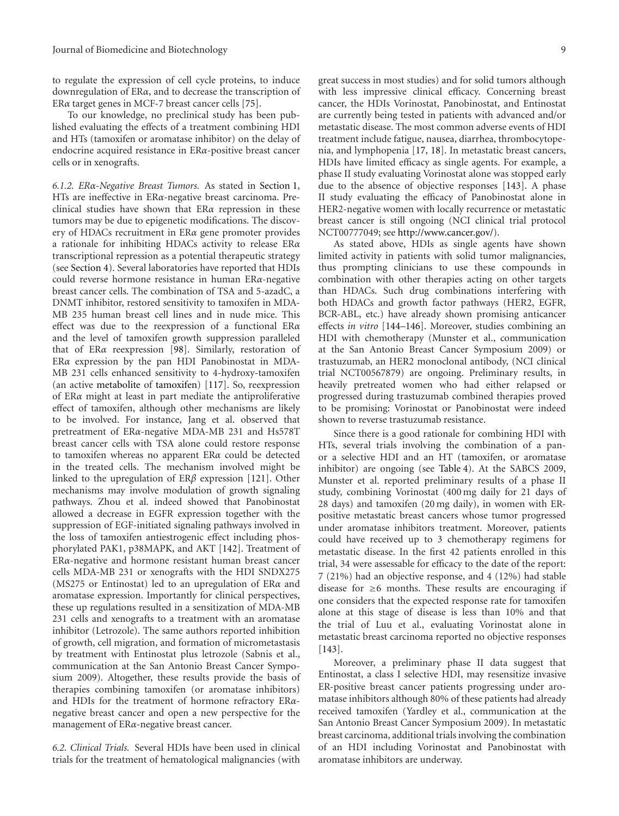to regulate the expression of cell cycle proteins, to induce downregulation of ER*α*, and to decrease the transcription of ER*α* target genes in MCF-7 breast cancer cells [75].

To our knowledge, no preclinical study has been published evaluating the effects of a treatment combining HDI and HTs (tamoxifen or aromatase inhibitor) on the delay of endocrine acquired resistance in ER*α*-positive breast cancer cells or in xenografts.

*6.1.2. ERα-Negative Breast Tumors.* As stated in Section 1, HTs are ineffective in ER*α*-negative breast carcinoma. Preclinical studies have shown that ER*α* repression in these tumors may be due to epigenetic modifications. The discovery of HDACs recruitment in ER*α* gene promoter provides a rationale for inhibiting HDACs activity to release ER*α* transcriptional repression as a potential therapeutic strategy (see Section 4). Several laboratories have reported that HDIs could reverse hormone resistance in human ER*α*-negative breast cancer cells. The combination of TSA and 5-azadC, a DNMT inhibitor, restored sensitivity to tamoxifen in MDA-MB 235 human breast cell lines and in nude mice. This effect was due to the reexpression of a functional ER*α* and the level of tamoxifen growth suppression paralleled that of ER*α* reexpression [98]. Similarly, restoration of ER*α* expression by the pan HDI Panobinostat in MDA-MB 231 cells enhanced sensitivity to 4-hydroxy-tamoxifen (an active metabolite of tamoxifen) [117]. So, reexpression of ER*α* might at least in part mediate the antiproliferative effect of tamoxifen, although other mechanisms are likely to be involved. For instance, Jang et al. observed that pretreatment of ER*α*-negative MDA-MB 231 and Hs578T breast cancer cells with TSA alone could restore response to tamoxifen whereas no apparent ER*α* could be detected in the treated cells. The mechanism involved might be linked to the upregulation of ER*β* expression [121]. Other mechanisms may involve modulation of growth signaling pathways. Zhou et al. indeed showed that Panobinostat allowed a decrease in EGFR expression together with the suppression of EGF-initiated signaling pathways involved in the loss of tamoxifen antiestrogenic effect including phosphorylated PAK1, p38MAPK, and AKT [142]. Treatment of ER*α*-negative and hormone resistant human breast cancer cells MDA-MB 231 or xenografts with the HDI SNDX275 (MS275 or Entinostat) led to an upregulation of ER*α* and aromatase expression. Importantly for clinical perspectives, these up regulations resulted in a sensitization of MDA-MB 231 cells and xenografts to a treatment with an aromatase inhibitor (Letrozole). The same authors reported inhibition of growth, cell migration, and formation of micrometastasis by treatment with Entinostat plus letrozole (Sabnis et al., communication at the San Antonio Breast Cancer Symposium 2009). Altogether, these results provide the basis of therapies combining tamoxifen (or aromatase inhibitors) and HDIs for the treatment of hormone refractory ER*α*negative breast cancer and open a new perspective for the management of ER*α*-negative breast cancer.

*6.2. Clinical Trials.* Several HDIs have been used in clinical trials for the treatment of hematological malignancies (with

great success in most studies) and for solid tumors although with less impressive clinical efficacy. Concerning breast cancer, the HDIs Vorinostat, Panobinostat, and Entinostat are currently being tested in patients with advanced and/or metastatic disease. The most common adverse events of HDI treatment include fatigue, nausea, diarrhea, thrombocytopenia, and lymphopenia [17, 18]. In metastatic breast cancers, HDIs have limited efficacy as single agents. For example, a phase II study evaluating Vorinostat alone was stopped early due to the absence of objective responses [143]. A phase II study evaluating the efficacy of Panobinostat alone in HER2-negative women with locally recurrence or metastatic breast cancer is still ongoing (NCI clinical trial protocol NCT00777049; see http://www.cancer.gov/).

As stated above, HDIs as single agents have shown limited activity in patients with solid tumor malignancies, thus prompting clinicians to use these compounds in combination with other therapies acting on other targets than HDACs. Such drug combinations interfering with both HDACs and growth factor pathways (HER2, EGFR, BCR-ABL, etc.) have already shown promising anticancer effects *in vitro* [144–146]. Moreover, studies combining an HDI with chemotherapy (Munster et al., communication at the San Antonio Breast Cancer Symposium 2009) or trastuzumab, an HER2 monoclonal antibody, (NCI clinical trial NCT00567879) are ongoing. Preliminary results, in heavily pretreated women who had either relapsed or progressed during trastuzumab combined therapies proved to be promising: Vorinostat or Panobinostat were indeed shown to reverse trastuzumab resistance.

Since there is a good rationale for combining HDI with HTs, several trials involving the combination of a panor a selective HDI and an HT (tamoxifen, or aromatase inhibitor) are ongoing (see Table 4). At the SABCS 2009, Munster et al. reported preliminary results of a phase II study, combining Vorinostat (400 mg daily for 21 days of 28 days) and tamoxifen (20 mg daily), in women with ERpositive metastatic breast cancers whose tumor progressed under aromatase inhibitors treatment. Moreover, patients could have received up to 3 chemotherapy regimens for metastatic disease. In the first 42 patients enrolled in this trial, 34 were assessable for efficacy to the date of the report: 7 (21%) had an objective response, and 4 (12%) had stable disease for  $\geq 6$  months. These results are encouraging if one considers that the expected response rate for tamoxifen alone at this stage of disease is less than 10% and that the trial of Luu et al., evaluating Vorinostat alone in metastatic breast carcinoma reported no objective responses [143].

Moreover, a preliminary phase II data suggest that Entinostat, a class I selective HDI, may resensitize invasive ER-positive breast cancer patients progressing under aromatase inhibitors although 80% of these patients had already received tamoxifen (Yardley et al., communication at the San Antonio Breast Cancer Symposium 2009). In metastatic breast carcinoma, additional trials involving the combination of an HDI including Vorinostat and Panobinostat with aromatase inhibitors are underway.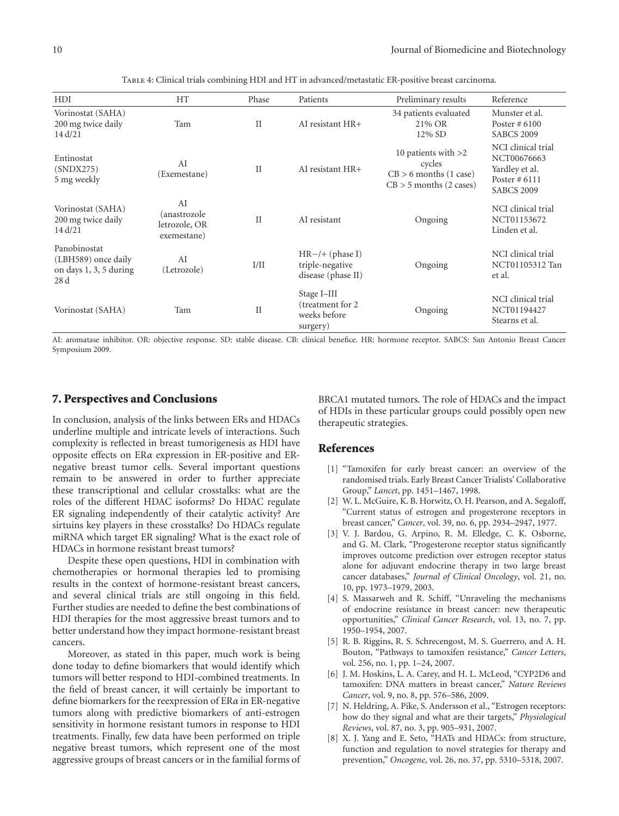| HDI                                                                   | <b>HT</b>                                          | Phase        | Patients                                                     | Preliminary results                                                                      | Reference                                                                                  |
|-----------------------------------------------------------------------|----------------------------------------------------|--------------|--------------------------------------------------------------|------------------------------------------------------------------------------------------|--------------------------------------------------------------------------------------------|
| Vorinostat (SAHA)<br>200 mg twice daily<br>14 d/21                    | Tam                                                | $\rm II$     | AI resistant HR+                                             | 34 patients evaluated<br>21% OR<br>12% SD                                                | Munster et al.<br>Poster $#6100$<br><b>SABCS 2009</b>                                      |
| Entinostat<br>(SNDX275)<br>5 mg weekly                                | AI<br>(Exemestane)                                 | $\mathbf{I}$ | AI resistant $HR+$                                           | 10 patients with $>2$<br>cycles<br>$CB > 6$ months (1 case)<br>$CB > 5$ months (2 cases) | NCI clinical trial<br>NCT00676663<br>Yardley et al.<br>Poster $#6111$<br><b>SABCS 2009</b> |
| Vorinostat (SAHA)<br>200 mg twice daily<br>14 d/21                    | AI<br>anastrozole)<br>letrozole, OR<br>exemestane) | $\mathbf{H}$ | AI resistant                                                 | Ongoing                                                                                  | NCI clinical trial<br>NCT01153672<br>Linden et al.                                         |
| Panobinostat<br>(LBH589) once daily<br>on days 1, 3, 5 during<br>28 d | AI<br>(Letrozole)                                  | I/II         | $HR-/+ (phase I)$<br>triple-negative<br>disease (phase II)   | Ongoing                                                                                  | NCI clinical trial<br>NCT01105312 Tan<br>et al.                                            |
| Vorinostat (SAHA)                                                     | Tam                                                | $\mathbf{I}$ | Stage I-III<br>(treatment for 2)<br>weeks before<br>surgery) | Ongoing                                                                                  | NCI clinical trial<br>NCT01194427<br>Stearns et al.                                        |

Table 4: Clinical trials combining HDI and HT in advanced/metastatic ER-positive breast carcinoma.

AI: aromatase inhibitor. OR: objective response. SD: stable disease. CB: clinical benefice. HR: hormone receptor. SABCS: San Antonio Breast Cancer Symposium 2009.

#### **7. Perspectives and Conclusions**

In conclusion, analysis of the links between ERs and HDACs underline multiple and intricate levels of interactions. Such complexity is reflected in breast tumorigenesis as HDI have opposite effects on ER*α* expression in ER-positive and ERnegative breast tumor cells. Several important questions remain to be answered in order to further appreciate these transcriptional and cellular crosstalks: what are the roles of the different HDAC isoforms? Do HDAC regulate ER signaling independently of their catalytic activity? Are sirtuins key players in these crosstalks? Do HDACs regulate miRNA which target ER signaling? What is the exact role of HDACs in hormone resistant breast tumors?

Despite these open questions, HDI in combination with chemotherapies or hormonal therapies led to promising results in the context of hormone-resistant breast cancers, and several clinical trials are still ongoing in this field. Further studies are needed to define the best combinations of HDI therapies for the most aggressive breast tumors and to better understand how they impact hormone-resistant breast cancers.

Moreover, as stated in this paper, much work is being done today to define biomarkers that would identify which tumors will better respond to HDI-combined treatments. In the field of breast cancer, it will certainly be important to define biomarkers for the reexpression of ER*α* in ER-negative tumors along with predictive biomarkers of anti-estrogen sensitivity in hormone resistant tumors in response to HDI treatments. Finally, few data have been performed on triple negative breast tumors, which represent one of the most aggressive groups of breast cancers or in the familial forms of BRCA1 mutated tumors. The role of HDACs and the impact of HDIs in these particular groups could possibly open new therapeutic strategies.

#### **References**

- [1] "Tamoxifen for early breast cancer: an overview of the randomised trials. Early Breast Cancer Trialists' Collaborative Group," *Lancet*, pp. 1451–1467, 1998.
- [2] W. L. McGuire, K. B. Horwitz, O. H. Pearson, and A. Segaloff, "Current status of estrogen and progesterone receptors in breast cancer," *Cancer*, vol. 39, no. 6, pp. 2934–2947, 1977.
- [3] V. J. Bardou, G. Arpino, R. M. Elledge, C. K. Osborne, and G. M. Clark, "Progesterone receptor status significantly improves outcome prediction over estrogen receptor status alone for adjuvant endocrine therapy in two large breast cancer databases," *Journal of Clinical Oncology*, vol. 21, no. 10, pp. 1973–1979, 2003.
- [4] S. Massarweh and R. Schiff, "Unraveling the mechanisms of endocrine resistance in breast cancer: new therapeutic opportunities," *Clinical Cancer Research*, vol. 13, no. 7, pp. 1950–1954, 2007.
- [5] R. B. Riggins, R. S. Schrecengost, M. S. Guerrero, and A. H. Bouton, "Pathways to tamoxifen resistance," *Cancer Letters*, vol. 256, no. 1, pp. 1–24, 2007.
- [6] J. M. Hoskins, L. A. Carey, and H. L. McLeod, "CYP2D6 and tamoxifen: DNA matters in breast cancer," *Nature Reviews Cancer*, vol. 9, no. 8, pp. 576–586, 2009.
- [7] N. Heldring, A. Pike, S. Andersson et al., "Estrogen receptors: how do they signal and what are their targets," *Physiological Reviews*, vol. 87, no. 3, pp. 905–931, 2007.
- [8] X. J. Yang and E. Seto, "HATs and HDACs: from structure, function and regulation to novel strategies for therapy and prevention," *Oncogene*, vol. 26, no. 37, pp. 5310–5318, 2007.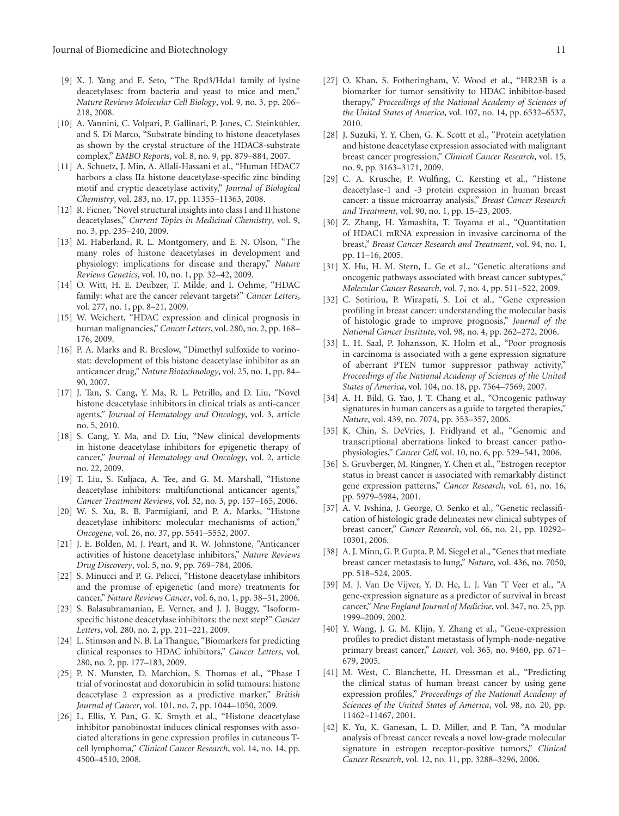- [9] X. J. Yang and E. Seto, "The Rpd3/Hda1 family of lysine deacetylases: from bacteria and yeast to mice and men," *Nature Reviews Molecular Cell Biology*, vol. 9, no. 3, pp. 206– 218, 2008.
- [10] A. Vannini, C. Volpari, P. Gallinari, P. Jones, C. Steinkühler, and S. Di Marco, "Substrate binding to histone deacetylases as shown by the crystal structure of the HDAC8-substrate complex," *EMBO Reports*, vol. 8, no. 9, pp. 879–884, 2007.
- [11] A. Schuetz, J. Min, A. Allali-Hassani et al., "Human HDAC7 harbors a class IIa histone deacetylase-specific zinc binding motif and cryptic deacetylase activity," *Journal of Biological Chemistry*, vol. 283, no. 17, pp. 11355–11363, 2008.
- [12] R. Ficner, "Novel structural insights into class I and II histone deacetylases," *Current Topics in Medicinal Chemistry*, vol. 9, no. 3, pp. 235–240, 2009.
- [13] M. Haberland, R. L. Montgomery, and E. N. Olson, "The many roles of histone deacetylases in development and physiology: implications for disease and therapy," *Nature Reviews Genetics*, vol. 10, no. 1, pp. 32–42, 2009.
- [14] O. Witt, H. E. Deubzer, T. Milde, and I. Oehme, "HDAC family: what are the cancer relevant targets?" *Cancer Letters*, vol. 277, no. 1, pp. 8–21, 2009.
- [15] W. Weichert, "HDAC expression and clinical prognosis in human malignancies," *Cancer Letters*, vol. 280, no. 2, pp. 168– 176, 2009.
- [16] P. A. Marks and R. Breslow, "Dimethyl sulfoxide to vorinostat: development of this histone deacetylase inhibitor as an anticancer drug," *Nature Biotechnology*, vol. 25, no. 1, pp. 84– 90, 2007.
- [17] J. Tan, S. Cang, Y. Ma, R. L. Petrillo, and D. Liu, "Novel histone deacetylase inhibitors in clinical trials as anti-cancer agents," *Journal of Hematology and Oncology*, vol. 3, article no. 5, 2010.
- [18] S. Cang, Y. Ma, and D. Liu, "New clinical developments in histone deacetylase inhibitors for epigenetic therapy of cancer," *Journal of Hematology and Oncology*, vol. 2, article no. 22, 2009.
- [19] T. Liu, S. Kuljaca, A. Tee, and G. M. Marshall, "Histone deacetylase inhibitors: multifunctional anticancer agents," *Cancer Treatment Reviews*, vol. 32, no. 3, pp. 157–165, 2006.
- [20] W. S. Xu, R. B. Parmigiani, and P. A. Marks, "Histone deacetylase inhibitors: molecular mechanisms of action," *Oncogene*, vol. 26, no. 37, pp. 5541–5552, 2007.
- [21] J. E. Bolden, M. J. Peart, and R. W. Johnstone, "Anticancer" activities of histone deacetylase inhibitors," *Nature Reviews Drug Discovery*, vol. 5, no. 9, pp. 769–784, 2006.
- [22] S. Minucci and P. G. Pelicci, "Histone deacetylase inhibitors and the promise of epigenetic (and more) treatments for cancer," *Nature Reviews Cancer*, vol. 6, no. 1, pp. 38–51, 2006.
- [23] S. Balasubramanian, E. Verner, and J. J. Buggy, "Isoformspecific histone deacetylase inhibitors: the next step?" *Cancer Letters*, vol. 280, no. 2, pp. 211–221, 2009.
- [24] L. Stimson and N. B. La Thangue, "Biomarkers for predicting clinical responses to HDAC inhibitors," *Cancer Letters*, vol. 280, no. 2, pp. 177–183, 2009.
- [25] P. N. Munster, D. Marchion, S. Thomas et al., "Phase I trial of vorinostat and doxorubicin in solid tumours: histone deacetylase 2 expression as a predictive marker," *British Journal of Cancer*, vol. 101, no. 7, pp. 1044–1050, 2009.
- [26] L. Ellis, Y. Pan, G. K. Smyth et al., "Histone deacetylase inhibitor panobinostat induces clinical responses with associated alterations in gene expression profiles in cutaneous Tcell lymphoma," *Clinical Cancer Research*, vol. 14, no. 14, pp. 4500–4510, 2008.
- [27] O. Khan, S. Fotheringham, V. Wood et al., "HR23B is a biomarker for tumor sensitivity to HDAC inhibitor-based therapy," *Proceedings of the National Academy of Sciences of the United States of America*, vol. 107, no. 14, pp. 6532–6537, 2010.
- [28] J. Suzuki, Y. Y. Chen, G. K. Scott et al., "Protein acetylation and histone deacetylase expression associated with malignant breast cancer progression," *Clinical Cancer Research*, vol. 15, no. 9, pp. 3163–3171, 2009.
- [29] C. A. Krusche, P. Wulfing, C. Kersting et al., "Histone deacetylase-1 and -3 protein expression in human breast cancer: a tissue microarray analysis," *Breast Cancer Research and Treatment*, vol. 90, no. 1, pp. 15–23, 2005.
- [30] Z. Zhang, H. Yamashita, T. Toyama et al., "Quantitation of HDAC1 mRNA expression in invasive carcinoma of the breast," *Breast Cancer Research and Treatment*, vol. 94, no. 1, pp. 11–16, 2005.
- [31] X. Hu, H. M. Stern, L. Ge et al., "Genetic alterations and oncogenic pathways associated with breast cancer subtypes,' *Molecular Cancer Research*, vol. 7, no. 4, pp. 511–522, 2009.
- [32] C. Sotiriou, P. Wirapati, S. Loi et al., "Gene expression profiling in breast cancer: understanding the molecular basis of histologic grade to improve prognosis," *Journal of the National Cancer Institute*, vol. 98, no. 4, pp. 262–272, 2006.
- [33] L. H. Saal, P. Johansson, K. Holm et al., "Poor prognosis in carcinoma is associated with a gene expression signature of aberrant PTEN tumor suppressor pathway activity," *Proceedings of the National Academy of Sciences of the United States of America*, vol. 104, no. 18, pp. 7564–7569, 2007.
- [34] A. H. Bild, G. Yao, J. T. Chang et al., "Oncogenic pathway signatures in human cancers as a guide to targeted therapies," *Nature*, vol. 439, no. 7074, pp. 353–357, 2006.
- [35] K. Chin, S. DeVries, J. Fridlyand et al., "Genomic and transcriptional aberrations linked to breast cancer pathophysiologies," *Cancer Cell*, vol. 10, no. 6, pp. 529–541, 2006.
- [36] S. Gruvberger, M. Ringner, Y. Chen et al., "Estrogen receptor status in breast cancer is associated with remarkably distinct gene expression patterns," *Cancer Research*, vol. 61, no. 16, pp. 5979–5984, 2001.
- [37] A. V. Ivshina, J. George, O. Senko et al., "Genetic reclassification of histologic grade delineates new clinical subtypes of breast cancer," *Cancer Research*, vol. 66, no. 21, pp. 10292– 10301, 2006.
- [38] A. J. Minn, G. P. Gupta, P. M. Siegel et al., "Genes that mediate breast cancer metastasis to lung," *Nature*, vol. 436, no. 7050, pp. 518–524, 2005.
- [39] M. J. Van De Vijver, Y. D. He, L. J. Van 'T Veer et al., "A gene-expression signature as a predictor of survival in breast cancer," *New England Journal of Medicine*, vol. 347, no. 25, pp. 1999–2009, 2002.
- [40] Y. Wang, J. G. M. Klijn, Y. Zhang et al., "Gene-expression profiles to predict distant metastasis of lymph-node-negative primary breast cancer," *Lancet*, vol. 365, no. 9460, pp. 671– 679, 2005.
- [41] M. West, C. Blanchette, H. Dressman et al., "Predicting the clinical status of human breast cancer by using gene expression profiles," *Proceedings of the National Academy of Sciences of the United States of America*, vol. 98, no. 20, pp. 11462–11467, 2001.
- [42] K. Yu, K. Ganesan, L. D. Miller, and P. Tan, "A modular analysis of breast cancer reveals a novel low-grade molecular signature in estrogen receptor-positive tumors," *Clinical Cancer Research*, vol. 12, no. 11, pp. 3288–3296, 2006.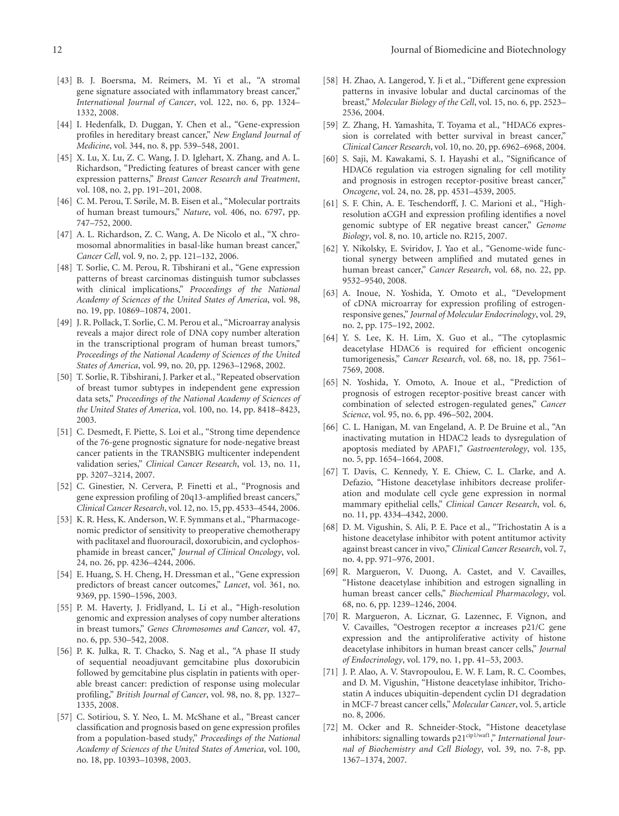- [43] B. J. Boersma, M. Reimers, M. Yi et al., "A stromal gene signature associated with inflammatory breast cancer," *International Journal of Cancer*, vol. 122, no. 6, pp. 1324– 1332, 2008.
- [44] I. Hedenfalk, D. Duggan, Y. Chen et al., "Gene-expression profiles in hereditary breast cancer," *New England Journal of Medicine*, vol. 344, no. 8, pp. 539–548, 2001.
- [45] X. Lu, X. Lu, Z. C. Wang, J. D. Iglehart, X. Zhang, and A. L. Richardson, "Predicting features of breast cancer with gene expression patterns," *Breast Cancer Research and Treatment*, vol. 108, no. 2, pp. 191–201, 2008.
- [46] C. M. Perou, T. Sørile, M. B. Eisen et al., "Molecular portraits of human breast tumours," *Nature*, vol. 406, no. 6797, pp. 747–752, 2000.
- [47] A. L. Richardson, Z. C. Wang, A. De Nicolo et al., "X chromosomal abnormalities in basal-like human breast cancer," *Cancer Cell*, vol. 9, no. 2, pp. 121–132, 2006.
- [48] T. Sorlie, C. M. Perou, R. Tibshirani et al., "Gene expression patterns of breast carcinomas distinguish tumor subclasses with clinical implications," *Proceedings of the National Academy of Sciences of the United States of America*, vol. 98, no. 19, pp. 10869–10874, 2001.
- [49] J. R. Pollack, T. Sorlie, C. M. Perou et al., "Microarray analysis reveals a major direct role of DNA copy number alteration in the transcriptional program of human breast tumors," *Proceedings of the National Academy of Sciences of the United States of America*, vol. 99, no. 20, pp. 12963–12968, 2002.
- [50] T. Sorlie, R. Tibshirani, J. Parker et al., "Repeated observation of breast tumor subtypes in independent gene expression data sets," *Proceedings of the National Academy of Sciences of the United States of America*, vol. 100, no. 14, pp. 8418–8423, 2003.
- [51] C. Desmedt, F. Piette, S. Loi et al., "Strong time dependence of the 76-gene prognostic signature for node-negative breast cancer patients in the TRANSBIG multicenter independent validation series," *Clinical Cancer Research*, vol. 13, no. 11, pp. 3207–3214, 2007.
- [52] C. Ginestier, N. Cervera, P. Finetti et al., "Prognosis and gene expression profiling of 20q13-amplified breast cancers," *Clinical Cancer Research*, vol. 12, no. 15, pp. 4533–4544, 2006.
- [53] K. R. Hess, K. Anderson, W. F. Symmans et al., "Pharmacogenomic predictor of sensitivity to preoperative chemotherapy with paclitaxel and fluorouracil, doxorubicin, and cyclophosphamide in breast cancer," *Journal of Clinical Oncology*, vol. 24, no. 26, pp. 4236–4244, 2006.
- [54] E. Huang, S. H. Cheng, H. Dressman et al., "Gene expression predictors of breast cancer outcomes," *Lancet*, vol. 361, no. 9369, pp. 1590–1596, 2003.
- [55] P. M. Haverty, J. Fridlyand, L. Li et al., "High-resolution genomic and expression analyses of copy number alterations in breast tumors," *Genes Chromosomes and Cancer*, vol. 47, no. 6, pp. 530–542, 2008.
- [56] P. K. Julka, R. T. Chacko, S. Nag et al., "A phase II study of sequential neoadjuvant gemcitabine plus doxorubicin followed by gemcitabine plus cisplatin in patients with operable breast cancer: prediction of response using molecular profiling," *British Journal of Cancer*, vol. 98, no. 8, pp. 1327– 1335, 2008.
- [57] C. Sotiriou, S. Y. Neo, L. M. McShane et al., "Breast cancer classification and prognosis based on gene expression profiles from a population-based study," *Proceedings of the National Academy of Sciences of the United States of America*, vol. 100, no. 18, pp. 10393–10398, 2003.
- [58] H. Zhao, A. Langerod, Y. Ji et al., "Different gene expression patterns in invasive lobular and ductal carcinomas of the breast," *Molecular Biology of the Cell*, vol. 15, no. 6, pp. 2523– 2536, 2004.
- [59] Z. Zhang, H. Yamashita, T. Toyama et al., "HDAC6 expression is correlated with better survival in breast cancer," *Clinical Cancer Research*, vol. 10, no. 20, pp. 6962–6968, 2004.
- [60] S. Saji, M. Kawakami, S. I. Hayashi et al., "Significance of HDAC6 regulation via estrogen signaling for cell motility and prognosis in estrogen receptor-positive breast cancer," *Oncogene*, vol. 24, no. 28, pp. 4531–4539, 2005.
- [61] S. F. Chin, A. E. Teschendorff, J. C. Marioni et al., "Highresolution aCGH and expression profiling identifies a novel genomic subtype of ER negative breast cancer," *Genome Biology*, vol. 8, no. 10, article no. R215, 2007.
- [62] Y. Nikolsky, E. Sviridov, J. Yao et al., "Genome-wide functional synergy between amplified and mutated genes in human breast cancer," *Cancer Research*, vol. 68, no. 22, pp. 9532–9540, 2008.
- [63] A. Inoue, N. Yoshida, Y. Omoto et al., "Development of cDNA microarray for expression profiling of estrogenresponsive genes," *Journal of Molecular Endocrinology*, vol. 29, no. 2, pp. 175–192, 2002.
- [64] Y. S. Lee, K. H. Lim, X. Guo et al., "The cytoplasmic deacetylase HDAC6 is required for efficient oncogenic tumorigenesis," *Cancer Research*, vol. 68, no. 18, pp. 7561– 7569, 2008.
- [65] N. Yoshida, Y. Omoto, A. Inoue et al., "Prediction of prognosis of estrogen receptor-positive breast cancer with combination of selected estrogen-regulated genes," *Cancer Science*, vol. 95, no. 6, pp. 496–502, 2004.
- [66] C. L. Hanigan, M. van Engeland, A. P. De Bruine et al., "An inactivating mutation in HDAC2 leads to dysregulation of apoptosis mediated by APAF1," *Gastroenterology*, vol. 135, no. 5, pp. 1654–1664, 2008.
- [67] T. Davis, C. Kennedy, Y. E. Chiew, C. L. Clarke, and A. Defazio, "Histone deacetylase inhibitors decrease proliferation and modulate cell cycle gene expression in normal mammary epithelial cells," *Clinical Cancer Research*, vol. 6, no. 11, pp. 4334–4342, 2000.
- [68] D. M. Vigushin, S. Ali, P. E. Pace et al., "Trichostatin A is a histone deacetylase inhibitor with potent antitumor activity against breast cancer in vivo," *Clinical Cancer Research*, vol. 7, no. 4, pp. 971–976, 2001.
- [69] R. Margueron, V. Duong, A. Castet, and V. Cavailles, "Histone deacetylase inhibition and estrogen signalling in human breast cancer cells," *Biochemical Pharmacology*, vol. 68, no. 6, pp. 1239–1246, 2004.
- [70] R. Margueron, A. Licznar, G. Lazennec, F. Vignon, and V. Cavailles, "Oestrogen receptor *α* increases p21/C gene expression and the antiproliferative activity of histone deacetylase inhibitors in human breast cancer cells," *Journal of Endocrinology*, vol. 179, no. 1, pp. 41–53, 2003.
- [71] J. P. Alao, A. V. Stavropoulou, E. W. F. Lam, R. C. Coombes, and D. M. Vigushin, "Histone deacetylase inhibitor, Trichostatin A induces ubiquitin-dependent cyclin D1 degradation in MCF-7 breast cancer cells," *Molecular Cancer*, vol. 5, article no. 8, 2006.
- [72] M. Ocker and R. Schneider-Stock, "Histone deacetylase inhibitors: signalling towards p21<sup>cip1/waf1</sup>," *International Journal of Biochemistry and Cell Biology*, vol. 39, no. 7-8, pp. 1367–1374, 2007.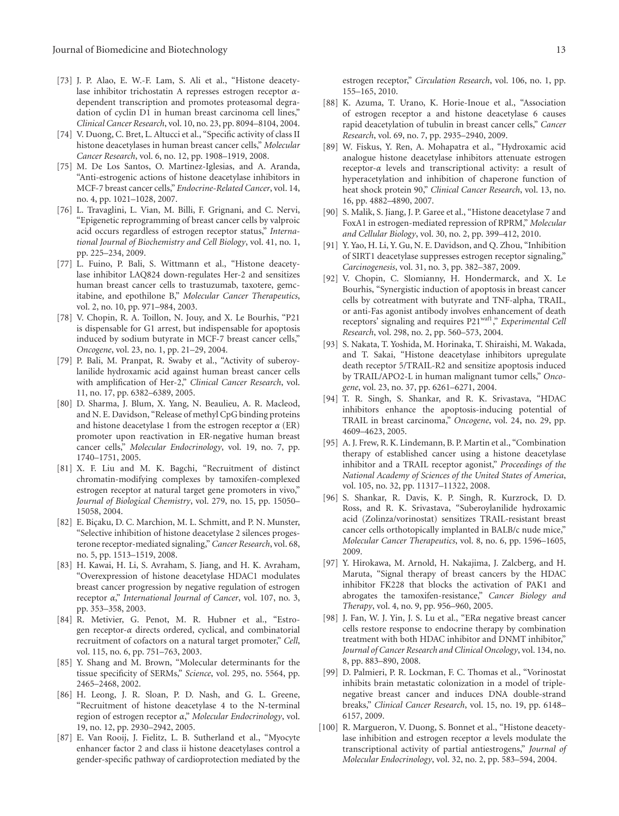- [73] J. P. Alao, E. W.-F. Lam, S. Ali et al., "Histone deacetylase inhibitor trichostatin A represses estrogen receptor *α*dependent transcription and promotes proteasomal degradation of cyclin D1 in human breast carcinoma cell lines," *Clinical Cancer Research*, vol. 10, no. 23, pp. 8094–8104, 2004.
- [74] V. Duong, C. Bret, L. Altucci et al., "Specific activity of class II histone deacetylases in human breast cancer cells," *Molecular Cancer Research*, vol. 6, no. 12, pp. 1908–1919, 2008.
- [75] M. De Los Santos, O. Martinez-Iglesias, and A. Aranda, "Anti-estrogenic actions of histone deacetylase inhibitors in MCF-7 breast cancer cells," *Endocrine-Related Cancer*, vol. 14, no. 4, pp. 1021–1028, 2007.
- [76] L. Travaglini, L. Vian, M. Billi, F. Grignani, and C. Nervi, "Epigenetic reprogramming of breast cancer cells by valproic acid occurs regardless of estrogen receptor status," *International Journal of Biochemistry and Cell Biology*, vol. 41, no. 1, pp. 225–234, 2009.
- [77] L. Fuino, P. Bali, S. Wittmann et al., "Histone deacetylase inhibitor LAQ824 down-regulates Her-2 and sensitizes human breast cancer cells to trastuzumab, taxotere, gemcitabine, and epothilone B," *Molecular Cancer Therapeutics*, vol. 2, no. 10, pp. 971–984, 2003.
- [78] V. Chopin, R. A. Toillon, N. Jouy, and X. Le Bourhis, "P21 is dispensable for G1 arrest, but indispensable for apoptosis induced by sodium butyrate in MCF-7 breast cancer cells," *Oncogene*, vol. 23, no. 1, pp. 21–29, 2004.
- [79] P. Bali, M. Pranpat, R. Swaby et al., "Activity of suberoylanilide hydroxamic acid against human breast cancer cells with amplification of Her-2," *Clinical Cancer Research*, vol. 11, no. 17, pp. 6382–6389, 2005.
- [80] D. Sharma, J. Blum, X. Yang, N. Beaulieu, A. R. Macleod, and N. E. Davidson, "Release of methyl CpG binding proteins and histone deacetylase 1 from the estrogen receptor *α* (ER) promoter upon reactivation in ER-negative human breast cancer cells," *Molecular Endocrinology*, vol. 19, no. 7, pp. 1740–1751, 2005.
- [81] X. F. Liu and M. K. Bagchi, "Recruitment of distinct chromatin-modifying complexes by tamoxifen-complexed estrogen receptor at natural target gene promoters in vivo," *Journal of Biological Chemistry*, vol. 279, no. 15, pp. 15050– 15058, 2004.
- [82] E. Biçaku, D. C. Marchion, M. L. Schmitt, and P. N. Munster, "Selective inhibition of histone deacetylase 2 silences progesterone receptor-mediated signaling," *Cancer Research*, vol. 68, no. 5, pp. 1513–1519, 2008.
- [83] H. Kawai, H. Li, S. Avraham, S. Jiang, and H. K. Avraham, "Overexpression of histone deacetylase HDAC1 modulates breast cancer progression by negative regulation of estrogen receptor *α*," *International Journal of Cancer*, vol. 107, no. 3, pp. 353–358, 2003.
- [84] R. Metivier, G. Penot, M. R. Hubner et al., "Estrogen receptor-*α* directs ordered, cyclical, and combinatorial recruitment of cofactors on a natural target promoter," *Cell*, vol. 115, no. 6, pp. 751–763, 2003.
- [85] Y. Shang and M. Brown, "Molecular determinants for the tissue specificity of SERMs," *Science*, vol. 295, no. 5564, pp. 2465–2468, 2002.
- [86] H. Leong, J. R. Sloan, P. D. Nash, and G. L. Greene, "Recruitment of histone deacetylase 4 to the N-terminal region of estrogen receptor *α*," *Molecular Endocrinology*, vol. 19, no. 12, pp. 2930–2942, 2005.
- [87] E. Van Rooij, J. Fielitz, L. B. Sutherland et al., "Myocyte enhancer factor 2 and class ii histone deacetylases control a gender-specific pathway of cardioprotection mediated by the

estrogen receptor," *Circulation Research*, vol. 106, no. 1, pp. 155–165, 2010.

- [88] K. Azuma, T. Urano, K. Horie-Inoue et al., "Association of estrogen receptor a and histone deacetylase 6 causes rapid deacetylation of tubulin in breast cancer cells," *Cancer Research*, vol. 69, no. 7, pp. 2935–2940, 2009.
- [89] W. Fiskus, Y. Ren, A. Mohapatra et al., "Hydroxamic acid analogue histone deacetylase inhibitors attenuate estrogen receptor-*α* levels and transcriptional activity: a result of hyperacetylation and inhibition of chaperone function of heat shock protein 90," *Clinical Cancer Research*, vol. 13, no. 16, pp. 4882–4890, 2007.
- [90] S. Malik, S. Jiang, J. P. Garee et al., "Histone deacetylase 7 and FoxA1 in estrogen-mediated repression of RPRM," *Molecular and Cellular Biology*, vol. 30, no. 2, pp. 399–412, 2010.
- [91] Y. Yao, H. Li, Y. Gu, N. E. Davidson, and Q. Zhou, "Inhibition of SIRT1 deacetylase suppresses estrogen receptor signaling," *Carcinogenesis*, vol. 31, no. 3, pp. 382–387, 2009.
- [92] V. Chopin, C. Slomianny, H. Hondermarck, and X. Le Bourhis, "Synergistic induction of apoptosis in breast cancer cells by cotreatment with butyrate and TNF-alpha, TRAIL, or anti-Fas agonist antibody involves enhancement of death receptors' signaling and requires P21<sup>waf1</sup>," *Experimental Cell Research*, vol. 298, no. 2, pp. 560–573, 2004.
- [93] S. Nakata, T. Yoshida, M. Horinaka, T. Shiraishi, M. Wakada, and T. Sakai, "Histone deacetylase inhibitors upregulate death receptor 5/TRAIL-R2 and sensitize apoptosis induced by TRAIL/APO2-L in human malignant tumor cells," *Oncogene*, vol. 23, no. 37, pp. 6261–6271, 2004.
- [94] T. R. Singh, S. Shankar, and R. K. Srivastava, "HDAC inhibitors enhance the apoptosis-inducing potential of TRAIL in breast carcinoma," *Oncogene*, vol. 24, no. 29, pp. 4609–4623, 2005.
- [95] A. J. Frew, R. K. Lindemann, B. P. Martin et al., "Combination therapy of established cancer using a histone deacetylase inhibitor and a TRAIL receptor agonist," *Proceedings of the National Academy of Sciences of the United States of America*, vol. 105, no. 32, pp. 11317–11322, 2008.
- [96] S. Shankar, R. Davis, K. P. Singh, R. Kurzrock, D. D. Ross, and R. K. Srivastava, "Suberoylanilide hydroxamic acid (Zolinza/vorinostat) sensitizes TRAIL-resistant breast cancer cells orthotopically implanted in BALB/c nude mice," *Molecular Cancer Therapeutics*, vol. 8, no. 6, pp. 1596–1605, 2009.
- [97] Y. Hirokawa, M. Arnold, H. Nakajima, J. Zalcberg, and H. Maruta, "Signal therapy of breast cancers by the HDAC inhibitor FK228 that blocks the activation of PAK1 and abrogates the tamoxifen-resistance," *Cancer Biology and Therapy*, vol. 4, no. 9, pp. 956–960, 2005.
- [98] J. Fan, W. J. Yin, J. S. Lu et al., "ER*α* negative breast cancer cells restore response to endocrine therapy by combination treatment with both HDAC inhibitor and DNMT inhibitor," *Journal of Cancer Research and Clinical Oncology*, vol. 134, no. 8, pp. 883–890, 2008.
- [99] D. Palmieri, P. R. Lockman, F. C. Thomas et al., "Vorinostat inhibits brain metastatic colonization in a model of triplenegative breast cancer and induces DNA double-strand breaks," *Clinical Cancer Research*, vol. 15, no. 19, pp. 6148– 6157, 2009.
- [100] R. Margueron, V. Duong, S. Bonnet et al., "Histone deacetylase inhibition and estrogen receptor *α* levels modulate the transcriptional activity of partial antiestrogens," *Journal of Molecular Endocrinology*, vol. 32, no. 2, pp. 583–594, 2004.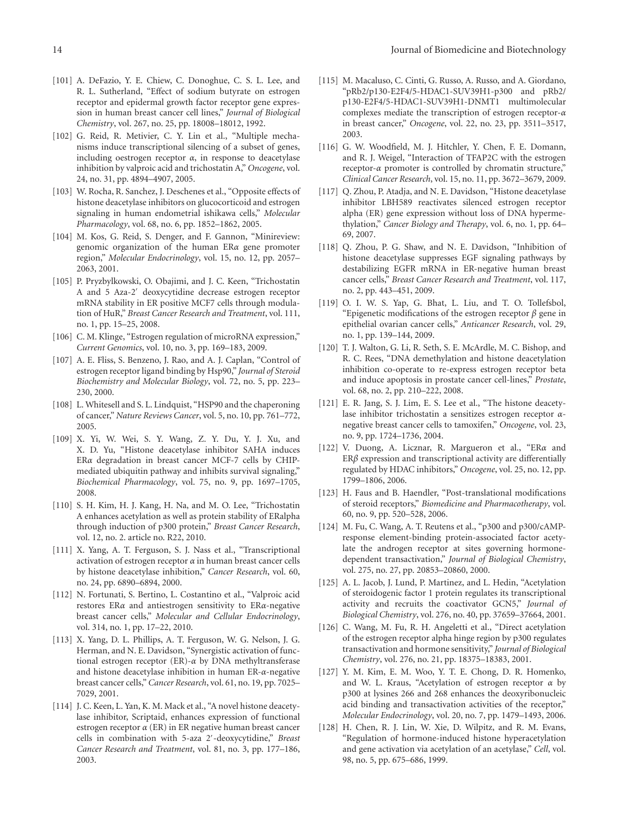- [101] A. DeFazio, Y. E. Chiew, C. Donoghue, C. S. L. Lee, and R. L. Sutherland, "Effect of sodium butyrate on estrogen receptor and epidermal growth factor receptor gene expression in human breast cancer cell lines," *Journal of Biological Chemistry*, vol. 267, no. 25, pp. 18008–18012, 1992.
- [102] G. Reid, R. Metivier, C. Y. Lin et al., "Multiple mechanisms induce transcriptional silencing of a subset of genes, including oestrogen receptor *α*, in response to deacetylase inhibition by valproic acid and trichostatin A," *Oncogene*, vol. 24, no. 31, pp. 4894–4907, 2005.
- [103] W. Rocha, R. Sanchez, J. Deschenes et al., "Opposite effects of histone deacetylase inhibitors on glucocorticoid and estrogen signaling in human endometrial ishikawa cells," *Molecular Pharmacology*, vol. 68, no. 6, pp. 1852–1862, 2005.
- [104] M. Kos, G. Reid, S. Denger, and F. Gannon, "Minireview: genomic organization of the human ER*α* gene promoter region," *Molecular Endocrinology*, vol. 15, no. 12, pp. 2057– 2063, 2001.
- [105] P. Pryzbylkowski, O. Obajimi, and J. C. Keen, "Trichostatin A and 5 Aza-2 deoxycytidine decrease estrogen receptor mRNA stability in ER positive MCF7 cells through modulation of HuR," *Breast Cancer Research and Treatment*, vol. 111, no. 1, pp. 15–25, 2008.
- [106] C. M. Klinge, "Estrogen regulation of microRNA expression," *Current Genomics*, vol. 10, no. 3, pp. 169–183, 2009.
- [107] A. E. Fliss, S. Benzeno, J. Rao, and A. J. Caplan, "Control of estrogen receptor ligand binding by Hsp90," *Journal of Steroid Biochemistry and Molecular Biology*, vol. 72, no. 5, pp. 223– 230, 2000.
- [108] L. Whitesell and S. L. Lindquist, "HSP90 and the chaperoning of cancer," *Nature Reviews Cancer*, vol. 5, no. 10, pp. 761–772, 2005.
- [109] X. Yi, W. Wei, S. Y. Wang, Z. Y. Du, Y. J. Xu, and X. D. Yu, "Histone deacetylase inhibitor SAHA induces ER*α* degradation in breast cancer MCF-7 cells by CHIPmediated ubiquitin pathway and inhibits survival signaling," *Biochemical Pharmacology*, vol. 75, no. 9, pp. 1697–1705, 2008.
- [110] S. H. Kim, H. J. Kang, H. Na, and M. O. Lee, "Trichostatin A enhances acetylation as well as protein stability of ERalpha through induction of p300 protein," *Breast Cancer Research*, vol. 12, no. 2. article no. R22, 2010.
- [111] X. Yang, A. T. Ferguson, S. J. Nass et al., "Transcriptional activation of estrogen receptor *α* in human breast cancer cells by histone deacetylase inhibition," *Cancer Research*, vol. 60, no. 24, pp. 6890–6894, 2000.
- [112] N. Fortunati, S. Bertino, L. Costantino et al., "Valproic acid restores ER*α* and antiestrogen sensitivity to ER*α*-negative breast cancer cells," *Molecular and Cellular Endocrinology*, vol. 314, no. 1, pp. 17–22, 2010.
- [113] X. Yang, D. L. Phillips, A. T. Ferguson, W. G. Nelson, J. G. Herman, and N. E. Davidson, "Synergistic activation of functional estrogen receptor (ER)-*α* by DNA methyltransferase and histone deacetylase inhibition in human ER-*α*-negative breast cancer cells," *Cancer Research*, vol. 61, no. 19, pp. 7025– 7029, 2001.
- [114] J. C. Keen, L. Yan, K. M. Mack et al., "A novel histone deacetylase inhibitor, Scriptaid, enhances expression of functional estrogen receptor *α* (ER) in ER negative human breast cancer cells in combination with 5-aza 2 -deoxycytidine," *Breast Cancer Research and Treatment*, vol. 81, no. 3, pp. 177–186, 2003.
- [115] M. Macaluso, C. Cinti, G. Russo, A. Russo, and A. Giordano, "pRb2/p130-E2F4/5-HDAC1-SUV39H1-p300 and pRb2/ p130-E2F4/5-HDAC1-SUV39H1-DNMT1 multimolecular complexes mediate the transcription of estrogen receptor-*α* in breast cancer," *Oncogene*, vol. 22, no. 23, pp. 3511–3517, 2003.
- [116] G. W. Woodfield, M. J. Hitchler, Y. Chen, F. E. Domann, and R. J. Weigel, "Interaction of TFAP2C with the estrogen receptor-*α* promoter is controlled by chromatin structure," *Clinical Cancer Research*, vol. 15, no. 11, pp. 3672–3679, 2009.
- [117] Q. Zhou, P. Atadja, and N. E. Davidson, "Histone deacetylase inhibitor LBH589 reactivates silenced estrogen receptor alpha (ER) gene expression without loss of DNA hypermethylation," *Cancer Biology and Therapy*, vol. 6, no. 1, pp. 64– 69, 2007.
- [118] Q. Zhou, P. G. Shaw, and N. E. Davidson, "Inhibition of histone deacetylase suppresses EGF signaling pathways by destabilizing EGFR mRNA in ER-negative human breast cancer cells," *Breast Cancer Research and Treatment*, vol. 117, no. 2, pp. 443–451, 2009.
- [119] O. I. W. S. Yap, G. Bhat, L. Liu, and T. O. Tollefsbol, "Epigenetic modifications of the estrogen receptor *β* gene in epithelial ovarian cancer cells," *Anticancer Research*, vol. 29, no. 1, pp. 139–144, 2009.
- [120] T. J. Walton, G. Li, R. Seth, S. E. McArdle, M. C. Bishop, and R. C. Rees, "DNA demethylation and histone deacetylation inhibition co-operate to re-express estrogen receptor beta and induce apoptosis in prostate cancer cell-lines," *Prostate*, vol. 68, no. 2, pp. 210–222, 2008.
- [121] E. R. Jang, S. J. Lim, E. S. Lee et al., "The histone deacetylase inhibitor trichostatin a sensitizes estrogen receptor *α*negative breast cancer cells to tamoxifen," *Oncogene*, vol. 23, no. 9, pp. 1724–1736, 2004.
- [122] V. Duong, A. Licznar, R. Margueron et al., "ER*α* and ER*β* expression and transcriptional activity are differentially regulated by HDAC inhibitors," *Oncogene*, vol. 25, no. 12, pp. 1799–1806, 2006.
- [123] H. Faus and B. Haendler, "Post-translational modifications of steroid receptors," *Biomedicine and Pharmacotherapy*, vol. 60, no. 9, pp. 520–528, 2006.
- [124] M. Fu, C. Wang, A. T. Reutens et al., "p300 and p300/cAMPresponse element-binding protein-associated factor acetylate the androgen receptor at sites governing hormonedependent transactivation," *Journal of Biological Chemistry*, vol. 275, no. 27, pp. 20853–20860, 2000.
- [125] A. L. Jacob, J. Lund, P. Martinez, and L. Hedin, "Acetylation of steroidogenic factor 1 protein regulates its transcriptional activity and recruits the coactivator GCN5," *Journal of Biological Chemistry*, vol. 276, no. 40, pp. 37659–37664, 2001.
- [126] C. Wang, M. Fu, R. H. Angeletti et al., "Direct acetylation of the estrogen receptor alpha hinge region by p300 regulates transactivation and hormone sensitivity," *Journal of Biological Chemistry*, vol. 276, no. 21, pp. 18375–18383, 2001.
- [127] Y. M. Kim, E. M. Woo, Y. T. E. Chong, D. R. Homenko, and W. L. Kraus, "Acetylation of estrogen receptor *α* by p300 at lysines 266 and 268 enhances the deoxyribonucleic acid binding and transactivation activities of the receptor," *Molecular Endocrinology*, vol. 20, no. 7, pp. 1479–1493, 2006.
- [128] H. Chen, R. J. Lin, W. Xie, D. Wilpitz, and R. M. Evans, "Regulation of hormone-induced histone hyperacetylation and gene activation via acetylation of an acetylase," *Cell*, vol. 98, no. 5, pp. 675–686, 1999.